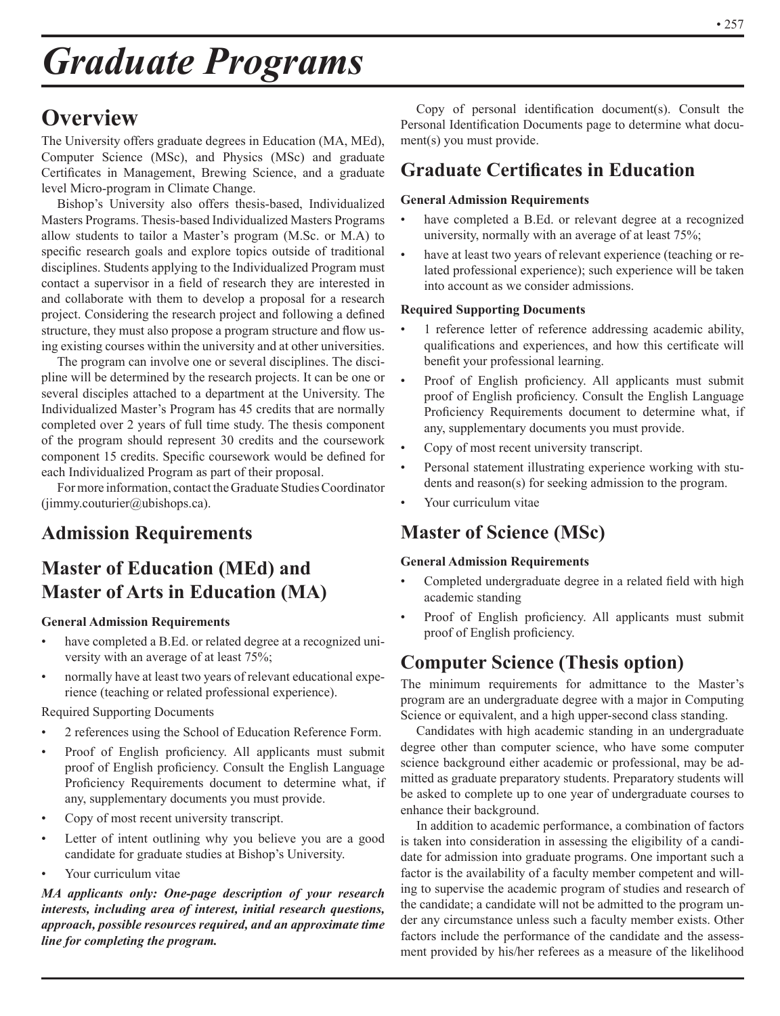# *Graduate Programs*

## **Overview**

The University offers graduate degrees in Education (MA, MEd), Computer Science (MSc), and Physics (MSc) and graduate Certificates in Management, Brewing Science, and a graduate level Micro-program in Climate Change.

Bishop's University also offers thesis-based, Individualized Masters Programs. Thesis-based Individualized Masters Programs allow students to tailor a Master's program (M.Sc. or M.A) to specific research goals and explore topics outside of traditional disciplines. Students applying to the Individualized Program must contact a supervisor in a field of research they are interested in and collaborate with them to develop a proposal for a research project. Considering the research project and following a defined structure, they must also propose a program structure and flow using existing courses within the university and at other universities.

The program can involve one or several disciplines. The discipline will be determined by the research projects. It can be one or several disciples attached to a department at the University. The Individualized Master's Program has 45 credits that are normally completed over 2 years of full time study. The thesis component of the program should represent 30 credits and the coursework component 15 credits. Specific coursework would be defined for each Individualized Program as part of their proposal.

For more information, contact the Graduate Studies Coordinator  $(iimmy.couturier@ubishops.ca).$ 

## **Admission Requirements**

## **Master of Education (MEd) and Master of Arts in Education (MA)**

#### **General Admission Requirements**

- have completed a B.Ed. or related degree at a recognized university with an average of at least 75%;
- normally have at least two years of relevant educational experience (teaching or related professional experience).

#### Required Supporting Documents

- 2 references using the School of Education Reference Form.
- Proof of English proficiency. All applicants must submit proof of English proficiency. Consult the English Language Proficiency Requirements document to determine what, if any, supplementary documents you must provide.
- Copy of most recent university transcript.
- Letter of intent outlining why you believe you are a good candidate for graduate studies at Bishop's University.
- Your curriculum vitae

*MA applicants only: One-page description of your research interests, including area of interest, initial research questions, approach, possible resources required, and an approximate time line for completing the program.*

Copy of personal identification document(s). Consult the Personal Identification Documents page to determine what document(s) you must provide.

## **Graduate Certificates in Education**

#### **General Admission Requirements**

- have completed a B.Ed. or relevant degree at a recognized university, normally with an average of at least 75%;
- have at least two years of relevant experience (teaching or related professional experience); such experience will be taken into account as we consider admissions.

#### **Required Supporting Documents**

- 1 reference letter of reference addressing academic ability, qualifications and experiences, and how this certificate will benefit your professional learning.
- Proof of English proficiency. All applicants must submit proof of English proficiency. Consult the English Language Proficiency Requirements document to determine what, if any, supplementary documents you must provide.
- Copy of most recent university transcript.
- Personal statement illustrating experience working with students and reason(s) for seeking admission to the program.
- Your curriculum vitae

## **Master of Science (MSc)**

#### **General Admission Requirements**

- Completed undergraduate degree in a related field with high academic standing
- Proof of English proficiency. All applicants must submit proof of English proficiency.

## **Computer Science (Thesis option)**

The minimum requirements for admittance to the Master's program are an undergraduate degree with a major in Computing Science or equivalent, and a high upper-second class standing.

Candidates with high academic standing in an undergraduate degree other than computer science, who have some computer science background either academic or professional, may be admitted as graduate preparatory students. Preparatory students will be asked to complete up to one year of undergraduate courses to enhance their background.

In addition to academic performance, a combination of factors is taken into consideration in assessing the eligibility of a candidate for admission into graduate programs. One important such a factor is the availability of a faculty member competent and willing to supervise the academic program of studies and research of the candidate; a candidate will not be admitted to the program under any circumstance unless such a faculty member exists. Other factors include the performance of the candidate and the assessment provided by his/her referees as a measure of the likelihood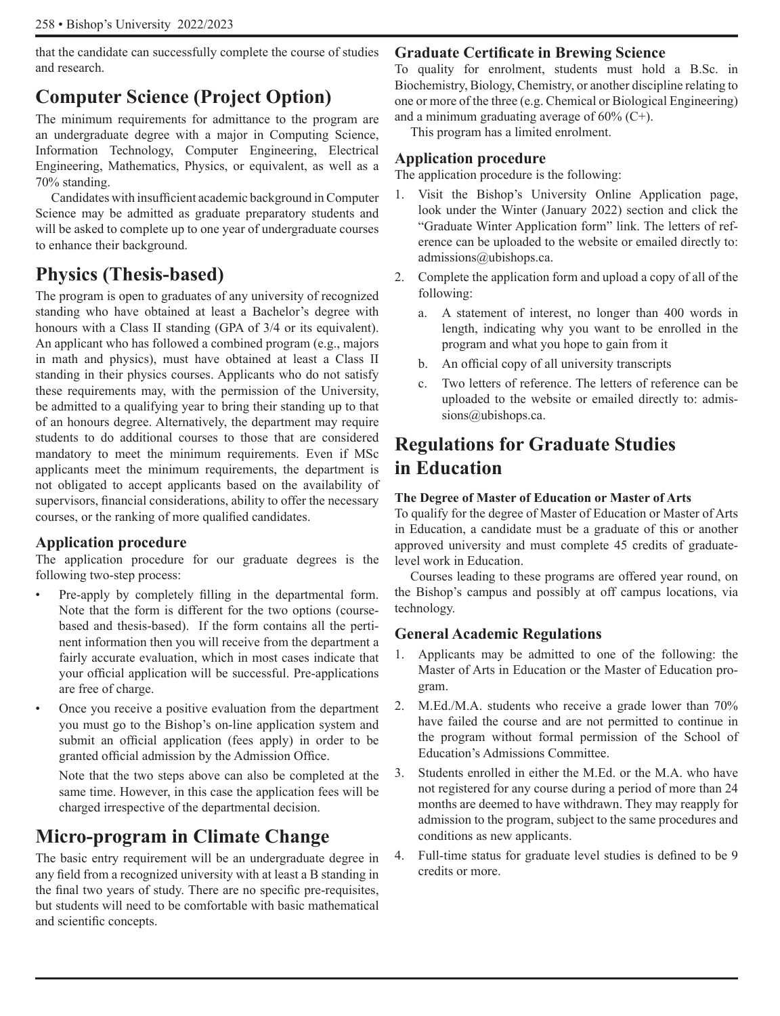that the candidate can successfully complete the course of studies and research.

## **Computer Science (Project Option)**

The minimum requirements for admittance to the program are an undergraduate degree with a major in Computing Science, Information Technology, Computer Engineering, Electrical Engineering, Mathematics, Physics, or equivalent, as well as a 70% standing.

Candidates with insufficient academic background in Computer Science may be admitted as graduate preparatory students and will be asked to complete up to one year of undergraduate courses to enhance their background.

## **Physics (Thesis-based)**

The program is open to graduates of any university of recognized standing who have obtained at least a Bachelor's degree with honours with a Class II standing (GPA of 3/4 or its equivalent). An applicant who has followed a combined program (e.g., majors in math and physics), must have obtained at least a Class II standing in their physics courses. Applicants who do not satisfy these requirements may, with the permission of the University, be admitted to a qualifying year to bring their standing up to that of an honours degree. Alternatively, the department may require students to do additional courses to those that are considered mandatory to meet the minimum requirements. Even if MSc applicants meet the minimum requirements, the department is not obligated to accept applicants based on the availability of supervisors, financial considerations, ability to offer the necessary courses, or the ranking of more qualified candidates.

### **Application procedure**

The application procedure for our graduate degrees is the following two-step process:

- Pre-apply by completely filling in the departmental form. Note that the form is different for the two options (coursebased and thesis-based). If the form contains all the pertinent information then you will receive from the department a fairly accurate evaluation, which in most cases indicate that your official application will be successful. Pre-applications are free of charge.
- Once you receive a positive evaluation from the department you must go to the Bishop's on-line application system and submit an official application (fees apply) in order to be granted official admission by the Admission Office.

Note that the two steps above can also be completed at the same time. However, in this case the application fees will be charged irrespective of the departmental decision.

## **Micro-program in Climate Change**

The basic entry requirement will be an undergraduate degree in any field from a recognized university with at least a B standing in the final two years of study. There are no specific pre-requisites, but students will need to be comfortable with basic mathematical and scientific concepts.

#### **Graduate Certificate in Brewing Science**

To quality for enrolment, students must hold a B.Sc. in Biochemistry, Biology, Chemistry, or another discipline relating to one or more of the three (e.g. Chemical or Biological Engineering) and a minimum graduating average of 60% (C+).

This program has a limited enrolment.

#### **Application procedure**

The application procedure is the following:

- 1. Visit the Bishop's University Online Application page, look under the Winter (January 2022) section and click the "Graduate Winter Application form" link. The letters of reference can be uploaded to the website or emailed directly to: admissions@ubishops.ca.
- 2. Complete the application form and upload a copy of all of the following:
	- a. A statement of interest, no longer than 400 words in length, indicating why you want to be enrolled in the program and what you hope to gain from it
	- b. An official copy of all university transcripts
	- c. Two letters of reference. The letters of reference can be uploaded to the website or emailed directly to: admissions@ubishops.ca.

## **Regulations for Graduate Studies in Education**

#### **The Degree of Master of Education or Master of Arts**

To qualify for the degree of Master of Education or Master of Arts in Education, a candidate must be a graduate of this or another approved university and must complete 45 credits of graduatelevel work in Education.

Courses leading to these programs are offered year round, on the Bishop's campus and possibly at off campus locations, via technology.

#### **General Academic Regulations**

- 1. Applicants may be admitted to one of the following: the Master of Arts in Education or the Master of Education program.
- 2. M.Ed./M.A. students who receive a grade lower than 70% have failed the course and are not permitted to continue in the program without formal permission of the School of Education's Admissions Committee.
- 3. Students enrolled in either the M.Ed. or the M.A. who have not registered for any course during a period of more than 24 months are deemed to have withdrawn. They may reapply for admission to the program, subject to the same procedures and conditions as new applicants.
- 4. Full-time status for graduate level studies is defined to be 9 credits or more.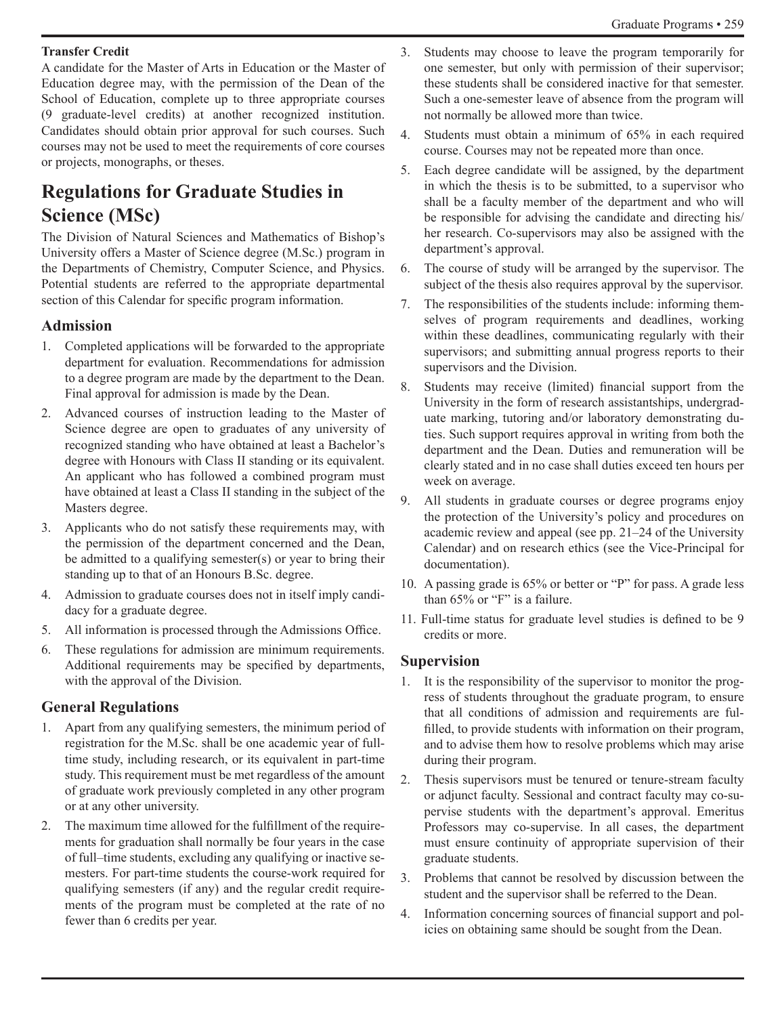#### **Transfer Credit**

A candidate for the Master of Arts in Education or the Master of Education degree may, with the permission of the Dean of the School of Education, complete up to three appropriate courses (9 graduate-level credits) at another recognized institution. Candidates should obtain prior approval for such courses. Such courses may not be used to meet the requirements of core courses or projects, monographs, or theses.

## **Regulations for Graduate Studies in Science (MSc)**

The Division of Natural Sciences and Mathematics of Bishop's University offers a Master of Science degree (M.Sc.) program in the Departments of Chemistry, Computer Science, and Physics. Potential students are referred to the appropriate departmental section of this Calendar for specific program information.

### **Admission**

- 1. Completed applications will be forwarded to the appropriate department for evaluation. Recommendations for admission to a degree program are made by the department to the Dean. Final approval for admission is made by the Dean.
- 2. Advanced courses of instruction leading to the Master of Science degree are open to graduates of any university of recognized standing who have obtained at least a Bachelor's degree with Honours with Class II standing or its equivalent. An applicant who has followed a combined program must have obtained at least a Class II standing in the subject of the Masters degree.
- 3. Applicants who do not satisfy these requirements may, with the permission of the department concerned and the Dean, be admitted to a qualifying semester(s) or year to bring their standing up to that of an Honours B.Sc. degree.
- 4. Admission to graduate courses does not in itself imply candidacy for a graduate degree.
- 5. All information is processed through the Admissions Office.
- 6. These regulations for admission are minimum requirements. Additional requirements may be specified by departments, with the approval of the Division.

### **General Regulations**

- 1. Apart from any qualifying semesters, the minimum period of registration for the M.Sc. shall be one academic year of fulltime study, including research, or its equivalent in part-time study. This requirement must be met regardless of the amount of graduate work previously completed in any other program or at any other university.
- 2. The maximum time allowed for the fulfillment of the requirements for graduation shall normally be four years in the case of full–time students, excluding any qualifying or inactive semesters. For part-time students the course-work required for qualifying semesters (if any) and the regular credit requirements of the program must be completed at the rate of no fewer than 6 credits per year.
- 3. Students may choose to leave the program temporarily for one semester, but only with permission of their supervisor; these students shall be considered inactive for that semester. Such a one-semester leave of absence from the program will not normally be allowed more than twice.
- 4. Students must obtain a minimum of 65% in each required course. Courses may not be repeated more than once.
- 5. Each degree candidate will be assigned, by the department in which the thesis is to be submitted, to a supervisor who shall be a faculty member of the department and who will be responsible for advising the candidate and directing his/ her research. Co-supervisors may also be assigned with the department's approval.
- 6. The course of study will be arranged by the supervisor. The subject of the thesis also requires approval by the supervisor.
- 7. The responsibilities of the students include: informing themselves of program requirements and deadlines, working within these deadlines, communicating regularly with their supervisors; and submitting annual progress reports to their supervisors and the Division.
- 8. Students may receive (limited) financial support from the University in the form of research assistantships, undergraduate marking, tutoring and/or laboratory demonstrating duties. Such support requires approval in writing from both the department and the Dean. Duties and remuneration will be clearly stated and in no case shall duties exceed ten hours per week on average.
- 9. All students in graduate courses or degree programs enjoy the protection of the University's policy and procedures on academic review and appeal (see pp. 21–24 of the University Calendar) and on research ethics (see the Vice-Principal for documentation).
- 10. A passing grade is 65% or better or "P" for pass. A grade less than 65% or "F" is a failure.
- 11. Full-time status for graduate level studies is defined to be 9 credits or more.

### **Supervision**

- 1. It is the responsibility of the supervisor to monitor the progress of students throughout the graduate program, to ensure that all conditions of admission and requirements are fulfilled, to provide students with information on their program, and to advise them how to resolve problems which may arise during their program.
- 2. Thesis supervisors must be tenured or tenure-stream faculty or adjunct faculty. Sessional and contract faculty may co-supervise students with the department's approval. Emeritus Professors may co-supervise. In all cases, the department must ensure continuity of appropriate supervision of their graduate students.
- 3. Problems that cannot be resolved by discussion between the student and the supervisor shall be referred to the Dean.
- 4. Information concerning sources of financial support and policies on obtaining same should be sought from the Dean.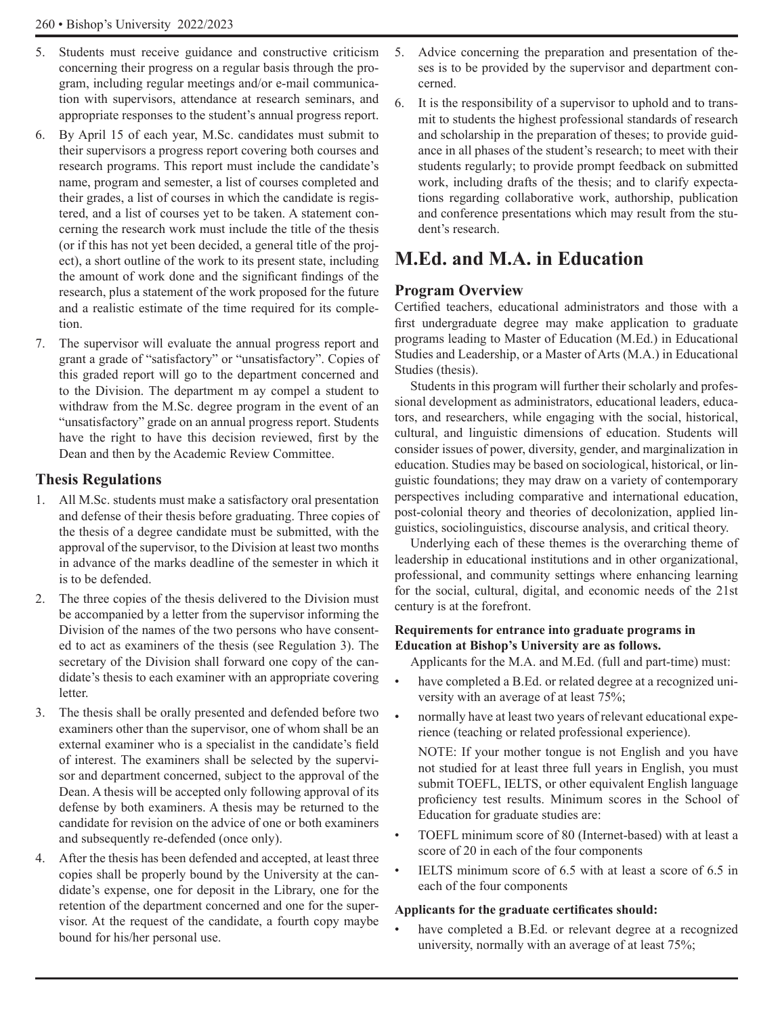- 5. Students must receive guidance and constructive criticism concerning their progress on a regular basis through the program, including regular meetings and/or e-mail communication with supervisors, attendance at research seminars, and appropriate responses to the student's annual progress report.
- 6. By April 15 of each year, M.Sc. candidates must submit to their supervisors a progress report covering both courses and research programs. This report must include the candidate's name, program and semester, a list of courses completed and their grades, a list of courses in which the candidate is registered, and a list of courses yet to be taken. A statement concerning the research work must include the title of the thesis (or if this has not yet been decided, a general title of the project), a short outline of the work to its present state, including the amount of work done and the significant findings of the research, plus a statement of the work proposed for the future and a realistic estimate of the time required for its completion.
- 7. The supervisor will evaluate the annual progress report and grant a grade of "satisfactory" or "unsatisfactory". Copies of this graded report will go to the department concerned and to the Division. The department m ay compel a student to withdraw from the M.Sc. degree program in the event of an "unsatisfactory" grade on an annual progress report. Students have the right to have this decision reviewed, first by the Dean and then by the Academic Review Committee.

### **Thesis Regulations**

- 1. All M.Sc. students must make a satisfactory oral presentation and defense of their thesis before graduating. Three copies of the thesis of a degree candidate must be submitted, with the approval of the supervisor, to the Division at least two months in advance of the marks deadline of the semester in which it is to be defended.
- 2. The three copies of the thesis delivered to the Division must be accompanied by a letter from the supervisor informing the Division of the names of the two persons who have consented to act as examiners of the thesis (see Regulation 3). The secretary of the Division shall forward one copy of the candidate's thesis to each examiner with an appropriate covering letter.
- 3. The thesis shall be orally presented and defended before two examiners other than the supervisor, one of whom shall be an external examiner who is a specialist in the candidate's field of interest. The examiners shall be selected by the supervisor and department concerned, subject to the approval of the Dean. A thesis will be accepted only following approval of its defense by both examiners. A thesis may be returned to the candidate for revision on the advice of one or both examiners and subsequently re-defended (once only).
- 4. After the thesis has been defended and accepted, at least three copies shall be properly bound by the University at the candidate's expense, one for deposit in the Library, one for the retention of the department concerned and one for the supervisor. At the request of the candidate, a fourth copy maybe bound for his/her personal use.
- 5. Advice concerning the preparation and presentation of theses is to be provided by the supervisor and department concerned.
- 6. It is the responsibility of a supervisor to uphold and to transmit to students the highest professional standards of research and scholarship in the preparation of theses; to provide guidance in all phases of the student's research; to meet with their students regularly; to provide prompt feedback on submitted work, including drafts of the thesis; and to clarify expectations regarding collaborative work, authorship, publication and conference presentations which may result from the student's research.

## **M.Ed. and M.A. in Education**

## **Program Overview**

Certified teachers, educational administrators and those with a first undergraduate degree may make application to graduate programs leading to Master of Education (M.Ed.) in Educational Studies and Leadership, or a Master of Arts (M.A.) in Educational Studies (thesis).

Students in this program will further their scholarly and professional development as administrators, educational leaders, educators, and researchers, while engaging with the social, historical, cultural, and linguistic dimensions of education. Students will consider issues of power, diversity, gender, and marginalization in education. Studies may be based on sociological, historical, or linguistic foundations; they may draw on a variety of contemporary perspectives including comparative and international education, post-colonial theory and theories of decolonization, applied linguistics, sociolinguistics, discourse analysis, and critical theory.

Underlying each of these themes is the overarching theme of leadership in educational institutions and in other organizational, professional, and community settings where enhancing learning for the social, cultural, digital, and economic needs of the 21st century is at the forefront.

#### **Requirements for entrance into graduate programs in Education at Bishop's University are as follows.**

Applicants for the M.A. and M.Ed. (full and part-time) must:

- have completed a B.Ed. or related degree at a recognized university with an average of at least 75%;
- normally have at least two years of relevant educational experience (teaching or related professional experience).

NOTE: If your mother tongue is not English and you have not studied for at least three full years in English, you must submit TOEFL, IELTS, or other equivalent English language proficiency test results. Minimum scores in the School of Education for graduate studies are:

- TOEFL minimum score of 80 (Internet-based) with at least a score of 20 in each of the four components
- IELTS minimum score of 6.5 with at least a score of 6.5 in each of the four components

### **Applicants for the graduate certificates should:**

have completed a B.Ed. or relevant degree at a recognized university, normally with an average of at least 75%;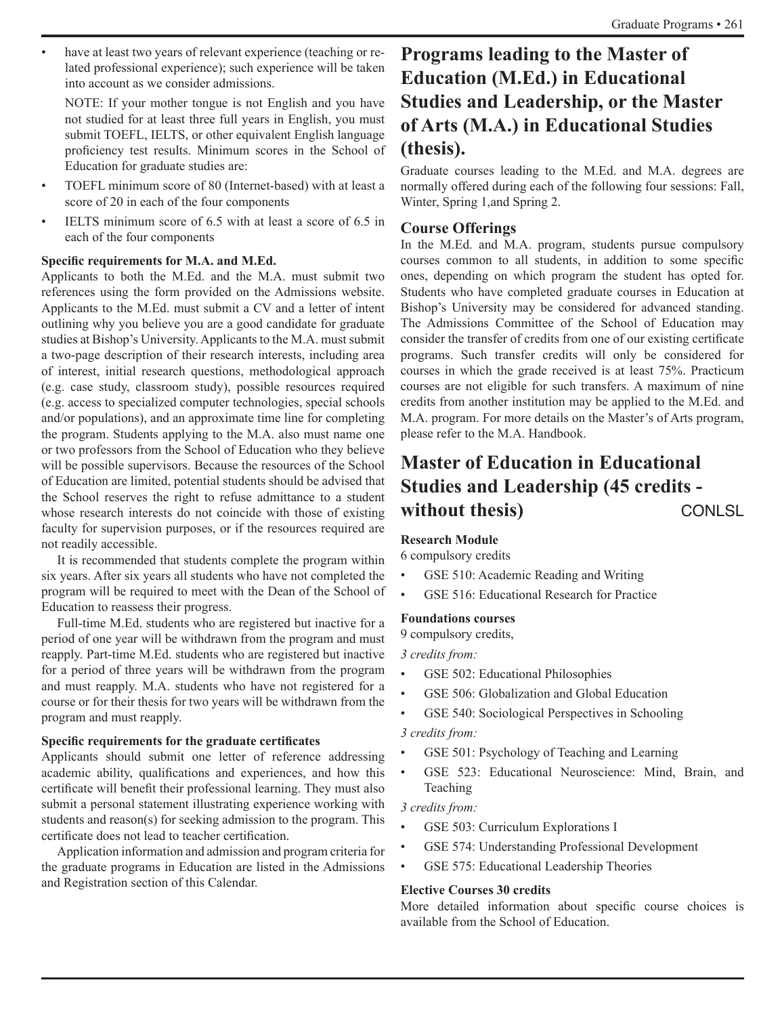have at least two years of relevant experience (teaching or related professional experience); such experience will be taken into account as we consider admissions.

NOTE: If your mother tongue is not English and you have not studied for at least three full years in English, you must submit TOEFL, IELTS, or other equivalent English language proficiency test results. Minimum scores in the School of Education for graduate studies are:

- TOEFL minimum score of 80 (Internet-based) with at least a score of 20 in each of the four components
- IELTS minimum score of 6.5 with at least a score of 6.5 in each of the four components

#### **Specific requirements for M.A. and M.Ed.**

Applicants to both the M.Ed. and the M.A. must submit two references using the form provided on the Admissions website. Applicants to the M.Ed. must submit a CV and a letter of intent outlining why you believe you are a good candidate for graduate studies at Bishop's University. Applicants to the M.A. must submit a two-page description of their research interests, including area of interest, initial research questions, methodological approach (e.g. case study, classroom study), possible resources required (e.g. access to specialized computer technologies, special schools and/or populations), and an approximate time line for completing the program. Students applying to the M.A. also must name one or two professors from the School of Education who they believe will be possible supervisors. Because the resources of the School of Education are limited, potential students should be advised that the School reserves the right to refuse admittance to a student whose research interests do not coincide with those of existing faculty for supervision purposes, or if the resources required are not readily accessible.

It is recommended that students complete the program within six years. After six years all students who have not completed the program will be required to meet with the Dean of the School of Education to reassess their progress.

Full-time M.Ed. students who are registered but inactive for a period of one year will be withdrawn from the program and must reapply. Part-time M.Ed. students who are registered but inactive for a period of three years will be withdrawn from the program and must reapply. M.A. students who have not registered for a course or for their thesis for two years will be withdrawn from the program and must reapply.

#### **Specific requirements for the graduate certificates**

Applicants should submit one letter of reference addressing academic ability, qualifications and experiences, and how this certificate will benefit their professional learning. They must also submit a personal statement illustrating experience working with students and reason(s) for seeking admission to the program. This certificate does not lead to teacher certification.

Application information and admission and program criteria for the graduate programs in Education are listed in the Admissions and Registration section of this Calendar.

## **Programs leading to the Master of Education (M.Ed.) in Educational Studies and Leadership, or the Master of Arts (M.A.) in Educational Studies (thesis).**

Graduate courses leading to the M.Ed. and M.A. degrees are normally offered during each of the following four sessions: Fall, Winter, Spring 1,and Spring 2.

### **Course Offerings**

In the M.Ed. and M.A. program, students pursue compulsory courses common to all students, in addition to some specific ones, depending on which program the student has opted for. Students who have completed graduate courses in Education at Bishop's University may be considered for advanced standing. The Admissions Committee of the School of Education may consider the transfer of credits from one of our existing certificate programs. Such transfer credits will only be considered for courses in which the grade received is at least 75%. Practicum courses are not eligible for such transfers. A maximum of nine credits from another institution may be applied to the M.Ed. and M.A. program. For more details on the Master's of Arts program, please refer to the M.A. Handbook.

## **Master of Education in Educational Studies and Leadership (45 credits**  without thesis) CONLSL

#### **Research Module**

6 compulsory credits

- GSE 510: Academic Reading and Writing
- GSE 516: Educational Research for Practice

#### **Foundations courses**

9 compulsory credits,

*3 credits from:*

- GSE 502: Educational Philosophies
- GSE 506: Globalization and Global Education
- GSE 540: Sociological Perspectives in Schooling

*3 credits from:*

- GSE 501: Psychology of Teaching and Learning
- GSE 523: Educational Neuroscience: Mind, Brain, and Teaching

*3 credits from:*

- GSE 503: Curriculum Explorations I
- GSE 574: Understanding Professional Development
- GSE 575: Educational Leadership Theories

#### **Elective Courses 30 credits**

More detailed information about specific course choices is available from the School of Education.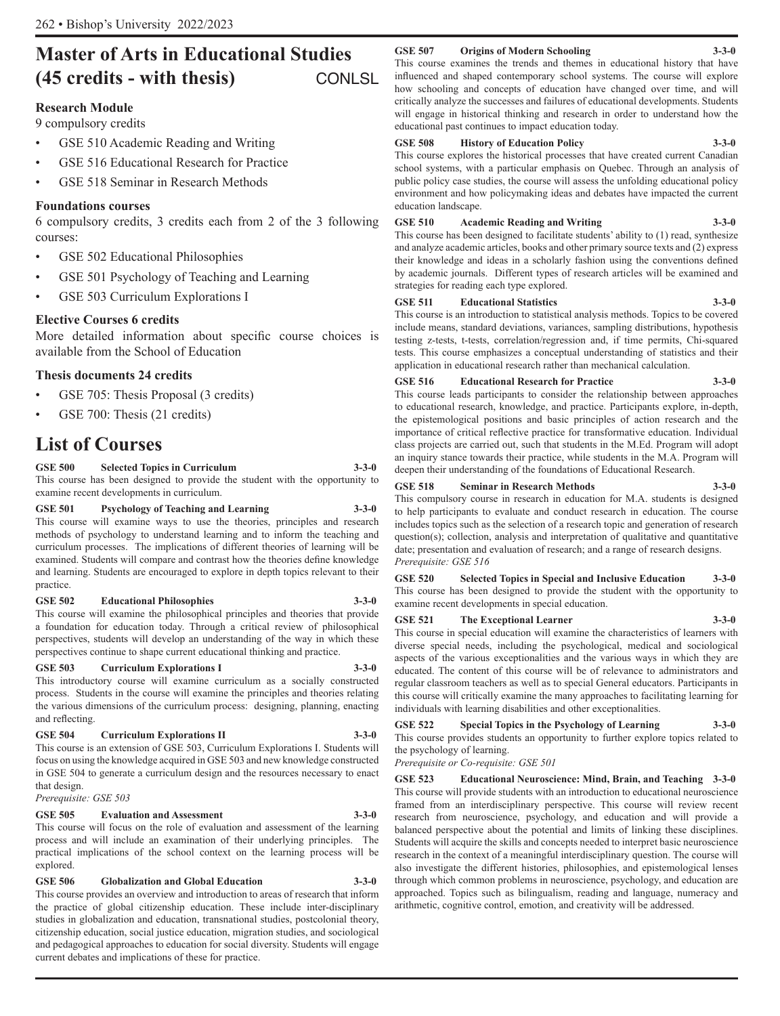## **Master of Arts in Educational Studies (45 credits - with thesis)** CONLSL

#### **Research Module**

9 compulsory credits

- GSE 510 Academic Reading and Writing
- GSE 516 Educational Research for Practice
- GSE 518 Seminar in Research Methods

#### **Foundations courses**

6 compulsory credits, 3 credits each from 2 of the 3 following courses:

- GSE 502 Educational Philosophies
- GSE 501 Psychology of Teaching and Learning
- GSE 503 Curriculum Explorations I

#### **Elective Courses 6 credits**

More detailed information about specific course choices is available from the School of Education

#### **Thesis documents 24 credits**

- GSE 705: Thesis Proposal (3 credits)
- GSE 700: Thesis (21 credits)

## **List of Courses**

**GSE 500 Selected Topics in Curriculum 3-3-0** This course has been designed to provide the student with the opportunity to examine recent developments in curriculum.

#### **GSE 501 Psychology of Teaching and Learning 3-3-0** This course will examine ways to use the theories, principles and research methods of psychology to understand learning and to inform the teaching and curriculum processes. The implications of different theories of learning will be examined. Students will compare and contrast how the theories define knowledge and learning. Students are encouraged to explore in depth topics relevant to their practice.

#### **GSE 502 Educational Philosophies 3-3-0**

This course will examine the philosophical principles and theories that provide a foundation for education today. Through a critical review of philosophical perspectives, students will develop an understanding of the way in which these perspectives continue to shape current educational thinking and practice.

#### **GSE 503** Curriculum Explorations I

This introductory course will examine curriculum as a socially constructed process. Students in the course will examine the principles and theories relating the various dimensions of the curriculum process: designing, planning, enacting and reflecting.

#### **GSE 504 Curriculum Explorations II 3-3-0**

This course is an extension of GSE 503, Curriculum Explorations I. Students will focus on using the knowledge acquired in GSE 503 and new knowledge constructed in GSE 504 to generate a curriculum design and the resources necessary to enact that design.

*Prerequisite: GSE 503*

#### **GSE 505 Evaluation and Assessment 3-3-0**

This course will focus on the role of evaluation and assessment of the learning process and will include an examination of their underlying principles. The practical implications of the school context on the learning process will be explored.

#### **GSE 506 Globalization and Global Education 3-3-0**

This course provides an overview and introduction to areas of research that inform the practice of global citizenship education. These include inter-disciplinary studies in globalization and education, transnational studies, postcolonial theory, citizenship education, social justice education, migration studies, and sociological and pedagogical approaches to education for social diversity. Students will engage current debates and implications of these for practice.

#### **GSE 507 Origins of Modern Schooling 3-3-0**

This course examines the trends and themes in educational history that have influenced and shaped contemporary school systems. The course will explore how schooling and concepts of education have changed over time, and will critically analyze the successes and failures of educational developments. Students will engage in historical thinking and research in order to understand how the educational past continues to impact education today.

#### **GSE 508 History of Education Policy 3-3-0**

This course explores the historical processes that have created current Canadian school systems, with a particular emphasis on Quebec. Through an analysis of public policy case studies, the course will assess the unfolding educational policy environment and how policymaking ideas and debates have impacted the current education landscape.

#### **GSE 510 Academic Reading and Writing 3-3-0**

This course has been designed to facilitate students' ability to (1) read, synthesize and analyze academic articles, books and other primary source texts and (2) express their knowledge and ideas in a scholarly fashion using the conventions defined by academic journals. Different types of research articles will be examined and strategies for reading each type explored.

#### **GSE 511 Educational Statistics 3-3-0**

This course is an introduction to statistical analysis methods. Topics to be covered include means, standard deviations, variances, sampling distributions, hypothesis testing z-tests, t-tests, correlation/regression and, if time permits, Chi-squared tests. This course emphasizes a conceptual understanding of statistics and their application in educational research rather than mechanical calculation.

**GSE 516 Educational Research for Practice 3-3-0** This course leads participants to consider the relationship between approaches to educational research, knowledge, and practice. Participants explore, in-depth, the epistemological positions and basic principles of action research and the importance of critical reflective practice for transformative education. Individual class projects are carried out, such that students in the M.Ed. Program will adopt an inquiry stance towards their practice, while students in the M.A. Program will deepen their understanding of the foundations of Educational Research.

#### **GSE 518 Seminar in Research Methods 3-3-0**

This compulsory course in research in education for M.A. students is designed to help participants to evaluate and conduct research in education. The course includes topics such as the selection of a research topic and generation of research question(s); collection, analysis and interpretation of qualitative and quantitative date; presentation and evaluation of research; and a range of research designs. *Prerequisite: GSE 516*

**GSE 520 Selected Topics in Special and Inclusive Education 3-3-0** This course has been designed to provide the student with the opportunity to examine recent developments in special education.

#### **GSE 521 The Exceptional Learner 3-3-0**

This course in special education will examine the characteristics of learners with diverse special needs, including the psychological, medical and sociological aspects of the various exceptionalities and the various ways in which they are educated. The content of this course will be of relevance to administrators and regular classroom teachers as well as to special General educators. Participants in this course will critically examine the many approaches to facilitating learning for individuals with learning disabilities and other exceptionalities.

**GSE 522 Special Topics in the Psychology of Learning 3-3-0** This course provides students an opportunity to further explore topics related to the psychology of learning.

*Prerequisite or Co-requisite: GSE 501* 

**GSE 523 Educational Neuroscience: Mind, Brain, and Teaching 3-3-0** This course will provide students with an introduction to educational neuroscience framed from an interdisciplinary perspective. This course will review recent research from neuroscience, psychology, and education and will provide a balanced perspective about the potential and limits of linking these disciplines. Students will acquire the skills and concepts needed to interpret basic neuroscience research in the context of a meaningful interdisciplinary question. The course will also investigate the different histories, philosophies, and epistemological lenses through which common problems in neuroscience, psychology, and education are approached. Topics such as bilingualism, reading and language, numeracy and arithmetic, cognitive control, emotion, and creativity will be addressed.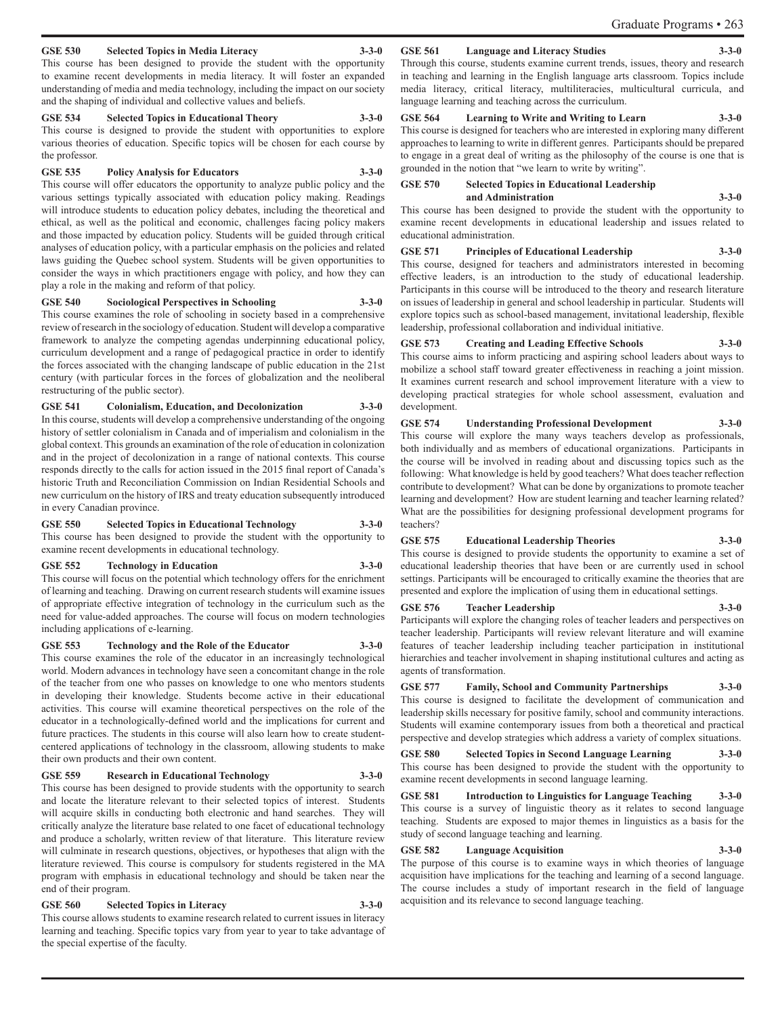#### Graduate Programs • 263

#### **GSE 530 Selected Topics in Media Literacy 3-3-0**

This course has been designed to provide the student with the opportunity to examine recent developments in media literacy. It will foster an expanded understanding of media and media technology, including the impact on our society and the shaping of individual and collective values and beliefs.

#### **GSE 534 Selected Topics in Educational Theory 3-3-0**

This course is designed to provide the student with opportunities to explore various theories of education. Specific topics will be chosen for each course by the professor.

#### **GSE 535 Policy Analysis for Educators 3-3-0**

This course will offer educators the opportunity to analyze public policy and the various settings typically associated with education policy making. Readings will introduce students to education policy debates, including the theoretical and ethical, as well as the political and economic, challenges facing policy makers and those impacted by education policy. Students will be guided through critical analyses of education policy, with a particular emphasis on the policies and related laws guiding the Quebec school system. Students will be given opportunities to consider the ways in which practitioners engage with policy, and how they can play a role in the making and reform of that policy.

#### **GSE 540 Sociological Perspectives in Schooling 3-3-0**

This course examines the role of schooling in society based in a comprehensive review of research in the sociology of education. Student will develop a comparative framework to analyze the competing agendas underpinning educational policy, curriculum development and a range of pedagogical practice in order to identify the forces associated with the changing landscape of public education in the 21st century (with particular forces in the forces of globalization and the neoliberal restructuring of the public sector).

#### **GSE 541 Colonialism, Education, and Decolonization 3-3-0**

In this course, students will develop a comprehensive understanding of the ongoing history of settler colonialism in Canada and of imperialism and colonialism in the global context. This grounds an examination of the role of education in colonization and in the project of decolonization in a range of national contexts. This course responds directly to the calls for action issued in the 2015 final report of Canada's historic Truth and Reconciliation Commission on Indian Residential Schools and new curriculum on the history of IRS and treaty education subsequently introduced in every Canadian province.

#### **GSE 550 Selected Topics in Educational Technology 3-3-0**

This course has been designed to provide the student with the opportunity to examine recent developments in educational technology.

#### **GSE 552 Technology in Education 3-3-0**

This course will focus on the potential which technology offers for the enrichment of learning and teaching. Drawing on current research students will examine issues of appropriate effective integration of technology in the curriculum such as the need for value-added approaches. The course will focus on modern technologies including applications of e-learning.

#### **GSE 553 Technology and the Role of the Educator 3-3-0**

This course examines the role of the educator in an increasingly technological world. Modern advances in technology have seen a concomitant change in the role of the teacher from one who passes on knowledge to one who mentors students in developing their knowledge. Students become active in their educational activities. This course will examine theoretical perspectives on the role of the educator in a technologically-defined world and the implications for current and future practices. The students in this course will also learn how to create studentcentered applications of technology in the classroom, allowing students to make their own products and their own content.

#### **GSE 559 Research in Educational Technology 3-3-0**

This course has been designed to provide students with the opportunity to search and locate the literature relevant to their selected topics of interest. Students will acquire skills in conducting both electronic and hand searches. They will critically analyze the literature base related to one facet of educational technology and produce a scholarly, written review of that literature. This literature review will culminate in research questions, objectives, or hypotheses that align with the literature reviewed. This course is compulsory for students registered in the MA program with emphasis in educational technology and should be taken near the end of their program.

#### **GSE 560 Selected Topics in Literacy 3-3-0**

This course allows students to examine research related to current issues in literacy learning and teaching. Specific topics vary from year to year to take advantage of the special expertise of the faculty.

#### **GSE 561** Language and Literacy Studies

Through this course, students examine current trends, issues, theory and research in teaching and learning in the English language arts classroom. Topics include media literacy, critical literacy, multiliteracies, multicultural curricula, and language learning and teaching across the curriculum.

#### **GSE 564 Learning to Write and Writing to Learn 3-3-0**

This course is designed for teachers who are interested in exploring many different approaches to learning to write in different genres. Participants should be prepared to engage in a great deal of writing as the philosophy of the course is one that is grounded in the notion that "we learn to write by writing".

#### **GSE 570 Selected Topics in Educational Leadership and Administration 3-3-0**

This course has been designed to provide the student with the opportunity to examine recent developments in educational leadership and issues related to educational administration.

#### **GSE 571 Principles of Educational Leadership 3-3-0**

This course, designed for teachers and administrators interested in becoming effective leaders, is an introduction to the study of educational leadership. Participants in this course will be introduced to the theory and research literature on issues of leadership in general and school leadership in particular. Students will explore topics such as school-based management, invitational leadership, flexible leadership, professional collaboration and individual initiative.

### **GSE 573 Creating and Leading Effective Schools 3-3-0**

This course aims to inform practicing and aspiring school leaders about ways to mobilize a school staff toward greater effectiveness in reaching a joint mission. It examines current research and school improvement literature with a view to developing practical strategies for whole school assessment, evaluation and development.

## **GSE 574 Understanding Professional Development 3-3-0**

This course will explore the many ways teachers develop as professionals, both individually and as members of educational organizations. Participants in the course will be involved in reading about and discussing topics such as the following: What knowledge is held by good teachers? What does teacher reflection contribute to development? What can be done by organizations to promote teacher learning and development? How are student learning and teacher learning related? What are the possibilities for designing professional development programs for teachers?

#### **GSE 575 Educational Leadership Theories 3-3-0**

This course is designed to provide students the opportunity to examine a set of educational leadership theories that have been or are currently used in school settings. Participants will be encouraged to critically examine the theories that are presented and explore the implication of using them in educational settings.

#### **GSE 576 Teacher Leadership 3-3-0**

Participants will explore the changing roles of teacher leaders and perspectives on teacher leadership. Participants will review relevant literature and will examine features of teacher leadership including teacher participation in institutional hierarchies and teacher involvement in shaping institutional cultures and acting as agents of transformation.

## **GSE 577 Family, School and Community Partnerships 3-3-0**

This course is designed to facilitate the development of communication and leadership skills necessary for positive family, school and community interactions. Students will examine contemporary issues from both a theoretical and practical perspective and develop strategies which address a variety of complex situations.

**GSE 580 Selected Topics in Second Language Learning 3-3-0** This course has been designed to provide the student with the opportunity to examine recent developments in second language learning.

#### **GSE 581 Introduction to Linguistics for Language Teaching 3-3-0** This course is a survey of linguistic theory as it relates to second language teaching. Students are exposed to major themes in linguistics as a basis for the study of second language teaching and learning.

#### **GSE 582 Language Acquisition 3-3-0**

The purpose of this course is to examine ways in which theories of language acquisition have implications for the teaching and learning of a second language. The course includes a study of important research in the field of language acquisition and its relevance to second language teaching.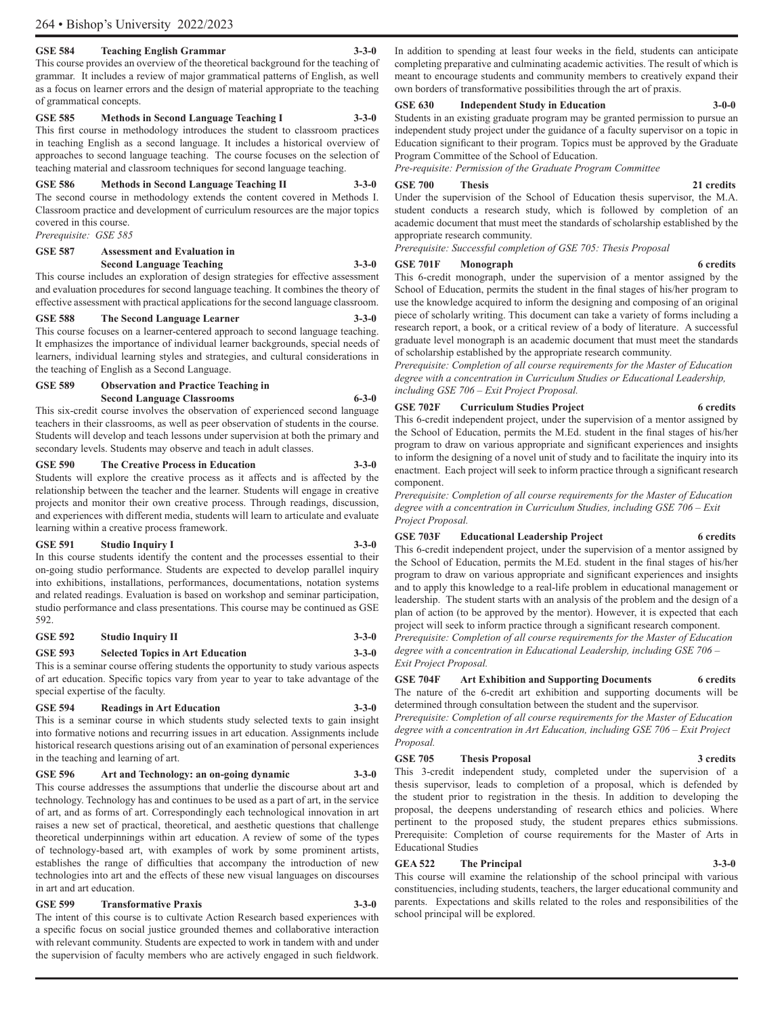#### **GSE 584 Teaching English Grammar 3-3-0**

This course provides an overview of the theoretical background for the teaching of grammar. It includes a review of major grammatical patterns of English, as well as a focus on learner errors and the design of material appropriate to the teaching of grammatical concepts.

#### **GSE 585 Methods in Second Language Teaching I 3-3-0**

This first course in methodology introduces the student to classroom practices in teaching English as a second language. It includes a historical overview of approaches to second language teaching. The course focuses on the selection of teaching material and classroom techniques for second language teaching.

#### **GSE 586 Methods in Second Language Teaching II 3-3-0**

The second course in methodology extends the content covered in Methods I. Classroom practice and development of curriculum resources are the major topics covered in this course.

*Prerequisite: GSE 585*

#### **GSE 587 Assessment and Evaluation in Second Language Teaching 3-3-0**

This course includes an exploration of design strategies for effective assessment and evaluation procedures for second language teaching. It combines the theory of effective assessment with practical applications for the second language classroom.

**GSE 588** The Second Language Learner This course focuses on a learner-centered approach to second language teaching. It emphasizes the importance of individual learner backgrounds, special needs of learners, individual learning styles and strategies, and cultural considerations in the teaching of English as a Second Language.

#### **GSE 589 Observation and Practice Teaching in Second Language Classrooms 6-3-0**

This six-credit course involves the observation of experienced second language teachers in their classrooms, as well as peer observation of students in the course. Students will develop and teach lessons under supervision at both the primary and secondary levels. Students may observe and teach in adult classes.

#### **GSE 590 The Creative Process in Education 3-3-0**

Students will explore the creative process as it affects and is affected by the relationship between the teacher and the learner. Students will engage in creative projects and monitor their own creative process. Through readings, discussion, and experiences with different media, students will learn to articulate and evaluate learning within a creative process framework.

#### **GSE 591 Studio Inquiry I 3-3-0**

In this course students identify the content and the processes essential to their on-going studio performance. Students are expected to develop parallel inquiry into exhibitions, installations, performances, documentations, notation systems and related readings. Evaluation is based on workshop and seminar participation, studio performance and class presentations. This course may be continued as GSE 592.

#### **GSE 592 Studio Inquiry II 3-3-0**

**GSE 593 Selected Topics in Art Education 3-3-0** This is a seminar course offering students the opportunity to study various aspects of art education. Specific topics vary from year to year to take advantage of the special expertise of the faculty.

### **GSE 594 Readings in Art Education 3-3-0**

This is a seminar course in which students study selected texts to gain insight into formative notions and recurring issues in art education. Assignments include historical research questions arising out of an examination of personal experiences in the teaching and learning of art.

#### **GSE 596 Art and Technology: an on-going dynamic 3-3-0**

This course addresses the assumptions that underlie the discourse about art and technology. Technology has and continues to be used as a part of art, in the service of art, and as forms of art. Correspondingly each technological innovation in art raises a new set of practical, theoretical, and aesthetic questions that challenge theoretical underpinnings within art education. A review of some of the types of technology-based art, with examples of work by some prominent artists, establishes the range of difficulties that accompany the introduction of new technologies into art and the effects of these new visual languages on discourses in art and art education.

### **GSE 599 Transformative Praxis 3-3-0**

The intent of this course is to cultivate Action Research based experiences with a specific focus on social justice grounded themes and collaborative interaction with relevant community. Students are expected to work in tandem with and under the supervision of faculty members who are actively engaged in such fieldwork.

In addition to spending at least four weeks in the field, students can anticipate completing preparative and culminating academic activities. The result of which is meant to encourage students and community members to creatively expand their own borders of transformative possibilities through the art of praxis.

#### **GSE 630 Independent Study in Education 3-0-0**

Students in an existing graduate program may be granted permission to pursue an independent study project under the guidance of a faculty supervisor on a topic in Education significant to their program. Topics must be approved by the Graduate Program Committee of the School of Education.

*Pre-requisite: Permission of the Graduate Program Committee*

#### **GSE 700 Thesis 21 credits**

Under the supervision of the School of Education thesis supervisor, the M.A. student conducts a research study, which is followed by completion of an academic document that must meet the standards of scholarship established by the appropriate research community.

*Prerequisite: Successful completion of GSE 705: Thesis Proposal* 

#### GSE 701F Monograph 6 credits

This 6-credit monograph, under the supervision of a mentor assigned by the School of Education, permits the student in the final stages of his/her program to use the knowledge acquired to inform the designing and composing of an original piece of scholarly writing. This document can take a variety of forms including a research report, a book, or a critical review of a body of literature. A successful graduate level monograph is an academic document that must meet the standards of scholarship established by the appropriate research community.

*Prerequisite: Completion of all course requirements for the Master of Education degree with a concentration in Curriculum Studies or Educational Leadership, including GSE 706 – Exit Project Proposal.*

#### **GSE 702F Curriculum Studies Project 6 credits**

This 6-credit independent project, under the supervision of a mentor assigned by the School of Education, permits the M.Ed. student in the final stages of his/her program to draw on various appropriate and significant experiences and insights to inform the designing of a novel unit of study and to facilitate the inquiry into its enactment. Each project will seek to inform practice through a significant research component.

*Prerequisite: Completion of all course requirements for the Master of Education degree with a concentration in Curriculum Studies, including GSE 706 – Exit Project Proposal.*

#### **GSE 703F Educational Leadership Project 6 credits**

This 6-credit independent project, under the supervision of a mentor assigned by the School of Education, permits the M.Ed. student in the final stages of his/her program to draw on various appropriate and significant experiences and insights and to apply this knowledge to a real-life problem in educational management or leadership. The student starts with an analysis of the problem and the design of a plan of action (to be approved by the mentor). However, it is expected that each project will seek to inform practice through a significant research component.

*Prerequisite: Completion of all course requirements for the Master of Education degree with a concentration in Educational Leadership, including GSE 706 – Exit Project Proposal.*

**GSE 704F Art Exhibition and Supporting Documents 6 credits** The nature of the 6-credit art exhibition and supporting documents will be determined through consultation between the student and the supervisor.

*Prerequisite: Completion of all course requirements for the Master of Education degree with a concentration in Art Education, including GSE 706 – Exit Project Proposal.*

#### **GSE 705 Thesis Proposal 3 credits**

This 3-credit independent study, completed under the supervision of a thesis supervisor, leads to completion of a proposal, which is defended by the student prior to registration in the thesis. In addition to developing the proposal, the deepens understanding of research ethics and policies. Where pertinent to the proposed study, the student prepares ethics submissions. Prerequisite: Completion of course requirements for the Master of Arts in Educational Studies

#### **GEA 522 The Principal 3-3-0**

This course will examine the relationship of the school principal with various constituencies, including students, teachers, the larger educational community and parents. Expectations and skills related to the roles and responsibilities of the school principal will be explored.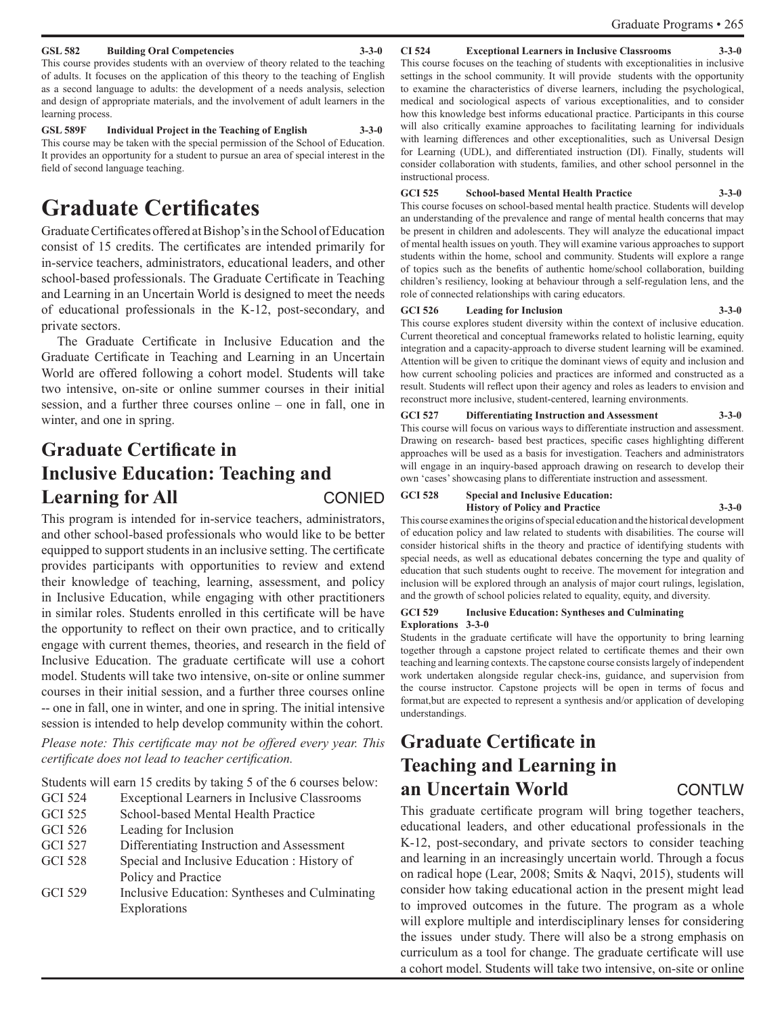#### Graduate Programs • 265

#### **GSL 582 Building Oral Competencies 3-3-0**

This course provides students with an overview of theory related to the teaching of adults. It focuses on the application of this theory to the teaching of English as a second language to adults: the development of a needs analysis, selection and design of appropriate materials, and the involvement of adult learners in the learning process.

**GSL 589F Individual Project in the Teaching of English 3-3-0** This course may be taken with the special permission of the School of Education. It provides an opportunity for a student to pursue an area of special interest in the field of second language teaching.

## **Graduate Certificates**

Graduate Certificates offered at Bishop's in the School of Education consist of 15 credits. The certificates are intended primarily for in-service teachers, administrators, educational leaders, and other school-based professionals. The Graduate Certificate in Teaching and Learning in an Uncertain World is designed to meet the needs of educational professionals in the K-12, post-secondary, and private sectors.

The Graduate Certificate in Inclusive Education and the Graduate Certificate in Teaching and Learning in an Uncertain World are offered following a cohort model. Students will take two intensive, on-site or online summer courses in their initial session, and a further three courses online – one in fall, one in winter, and one in spring.

## **Graduate Certificate in Inclusive Education: Teaching and**  Learning for All CONIED

This program is intended for in-service teachers, administrators, and other school-based professionals who would like to be better equipped to support students in an inclusive setting. The certificate provides participants with opportunities to review and extend their knowledge of teaching, learning, assessment, and policy in Inclusive Education, while engaging with other practitioners in similar roles. Students enrolled in this certificate will be have the opportunity to reflect on their own practice, and to critically engage with current themes, theories, and research in the field of Inclusive Education. The graduate certificate will use a cohort model. Students will take two intensive, on-site or online summer courses in their initial session, and a further three courses online -- one in fall, one in winter, and one in spring. The initial intensive session is intended to help develop community within the cohort.

*Please note: This certificate may not be offered every year. This certificate does not lead to teacher certification.*

Students will earn 15 credits by taking 5 of the 6 courses below:

- GCI 524 Exceptional Learners in Inclusive Classrooms
- GCI 525 School-based Mental Health Practice
- GCI 526 Leading for Inclusion
- GCI 527 Differentiating Instruction and Assessment
- GCI 528 Special and Inclusive Education : History of Policy and Practice
- GCI 529 Inclusive Education: Syntheses and Culminating Explorations

#### **CI 524 Exceptional Learners in Inclusive Classrooms 3-3-0**

This course focuses on the teaching of students with exceptionalities in inclusive settings in the school community. It will provide students with the opportunity to examine the characteristics of diverse learners, including the psychological, medical and sociological aspects of various exceptionalities, and to consider how this knowledge best informs educational practice. Participants in this course will also critically examine approaches to facilitating learning for individuals with learning differences and other exceptionalities, such as Universal Design for Learning (UDL), and differentiated instruction (DI). Finally, students will consider collaboration with students, families, and other school personnel in the instructional process.

#### **GCI 525 School-based Mental Health Practice 3-3-0**

This course focuses on school-based mental health practice. Students will develop an understanding of the prevalence and range of mental health concerns that may be present in children and adolescents. They will analyze the educational impact of mental health issues on youth. They will examine various approaches to support students within the home, school and community. Students will explore a range of topics such as the benefits of authentic home/school collaboration, building children's resiliency, looking at behaviour through a self-regulation lens, and the role of connected relationships with caring educators.

#### **GCI 526 Leading for Inclusion 3-3-0**

This course explores student diversity within the context of inclusive education. Current theoretical and conceptual frameworks related to holistic learning, equity integration and a capacity-approach to diverse student learning will be examined. Attention will be given to critique the dominant views of equity and inclusion and how current schooling policies and practices are informed and constructed as a result. Students will reflect upon their agency and roles as leaders to envision and reconstruct more inclusive, student-centered, learning environments.

**GCI 527 Differentiating Instruction and Assessment 3-3-0** This course will focus on various ways to differentiate instruction and assessment. Drawing on research- based best practices, specific cases highlighting different approaches will be used as a basis for investigation. Teachers and administrators will engage in an inquiry-based approach drawing on research to develop their own 'cases' showcasing plans to differentiate instruction and assessment.

## **GCI 528 Special and Inclusive Education:**

**History of Policy and Practice 3-3-0** This course examines the origins of special education and the historical development of education policy and law related to students with disabilities. The course will consider historical shifts in the theory and practice of identifying students with special needs, as well as educational debates concerning the type and quality of education that such students ought to receive. The movement for integration and

inclusion will be explored through an analysis of major court rulings, legislation, and the growth of school policies related to equality, equity, and diversity.

#### **GCI 529 Inclusive Education: Syntheses and Culminating Explorations 3-3-0**

Students in the graduate certificate will have the opportunity to bring learning together through a capstone project related to certificate themes and their own teaching and learning contexts. The capstone course consists largely of independent work undertaken alongside regular check-ins, guidance, and supervision from the course instructor. Capstone projects will be open in terms of focus and format,but are expected to represent a synthesis and/or application of developing understandings.

## **Graduate Certificate in Teaching and Learning in an Uncertain World CONTLW**

This graduate certificate program will bring together teachers, educational leaders, and other educational professionals in the K-12, post-secondary, and private sectors to consider teaching and learning in an increasingly uncertain world. Through a focus on radical hope (Lear, 2008; Smits & Naqvi, 2015), students will consider how taking educational action in the present might lead to improved outcomes in the future. The program as a whole will explore multiple and interdisciplinary lenses for considering the issues under study. There will also be a strong emphasis on curriculum as a tool for change. The graduate certificate will use a cohort model. Students will take two intensive, on-site or online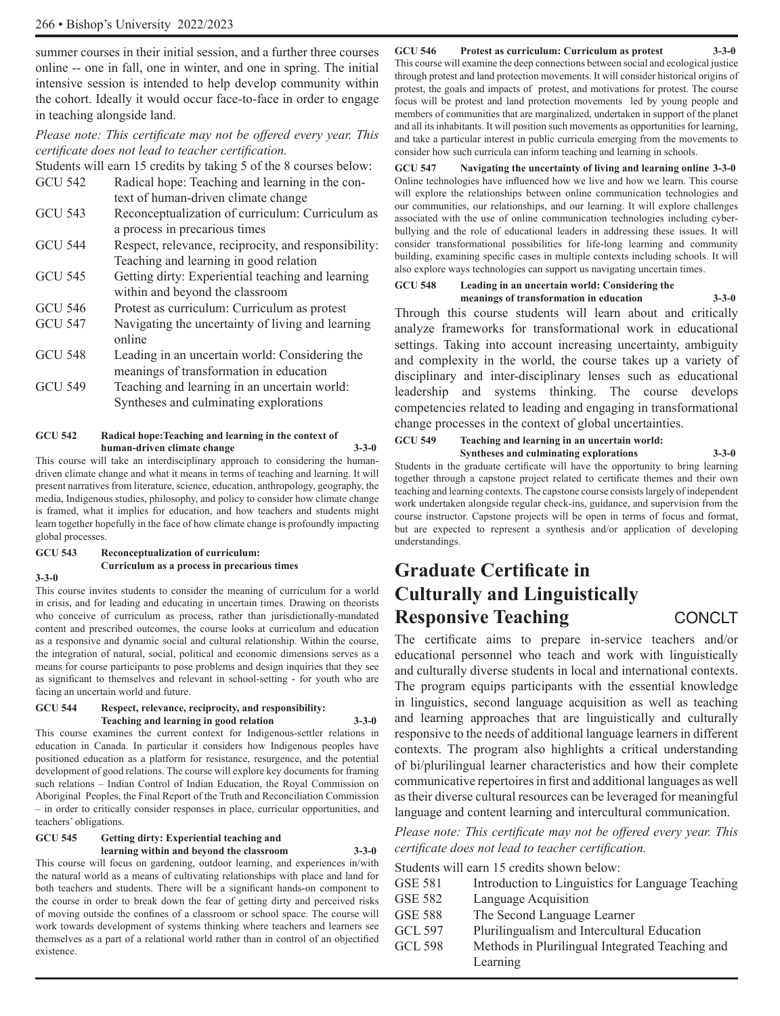summer courses in their initial session, and a further three courses online -- one in fall, one in winter, and one in spring. The initial intensive session is intended to help develop community within the cohort. Ideally it would occur face-to-face in order to engage in teaching alongside land.

#### *Please note: This certificate may not be offered every year. This certificate does not lead to teacher certification.*

Students will earn 15 credits by taking 5 of the 8 courses below:

GCU 542 Radical hope: Teaching and learning in the context of human-driven climate change

- GCU 543 Reconceptualization of curriculum: Curriculum as a process in precarious times
- GCU 544 Respect, relevance, reciprocity, and responsibility: Teaching and learning in good relation
- GCU 545 Getting dirty: Experiential teaching and learning within and beyond the classroom
- GCU 546 Protest as curriculum: Curriculum as protest
- GCU 547 Navigating the uncertainty of living and learning online
- GCU 548 Leading in an uncertain world: Considering the meanings of transformation in education
- GCU 549 Teaching and learning in an uncertain world: Syntheses and culminating explorations

#### **GCU 542 Radical hope:Teaching and learning in the context of human-driven climate change 3-3-0**

This course will take an interdisciplinary approach to considering the humandriven climate change and what it means in terms of teaching and learning. It will present narratives from literature, science, education, anthropology, geography, the media, Indigenous studies, philosophy, and policy to consider how climate change is framed, what it implies for education, and how teachers and students might learn together hopefully in the face of how climate change is profoundly impacting global processes.

#### **GCU 543 Reconceptualization of curriculum:**

#### **Curriculum as a process in precarious times**

#### **3-3-0**

This course invites students to consider the meaning of curriculum for a world in crisis, and for leading and educating in uncertain times. Drawing on theorists who conceive of curriculum as process, rather than jurisdictionally-mandated content and prescribed outcomes, the course looks at curriculum and education as a responsive and dynamic social and cultural relationship. Within the course, the integration of natural, social, political and economic dimensions serves as a means for course participants to pose problems and design inquiries that they see as significant to themselves and relevant in school-setting - for youth who are facing an uncertain world and future.

#### **GCU 544 Respect, relevance, reciprocity, and responsibility: Teaching and learning in good relation 3-3-0**

This course examines the current context for Indigenous-settler relations in education in Canada. In particular it considers how Indigenous peoples have positioned education as a platform for resistance, resurgence, and the potential development of good relations. The course will explore key documents for framing such relations – Indian Control of Indian Education, the Royal Commission on Aboriginal Peoples, the Final Report of the Truth and Reconciliation Commission – in order to critically consider responses in place, curricular opportunities, and teachers' obligations.

#### **GCU 545 Getting dirty: Experiential teaching and**

**learning within and beyond the classroom 3-3-0** This course will focus on gardening, outdoor learning, and experiences in/with the natural world as a means of cultivating relationships with place and land for both teachers and students. There will be a significant hands-on component to the course in order to break down the fear of getting dirty and perceived risks of moving outside the confines of a classroom or school space. The course will work towards development of systems thinking where teachers and learners see themselves as a part of a relational world rather than in control of an objectified existence.

#### **GCU 546 Protest as curriculum: Curriculum as protest 3-3-0**

This course will examine the deep connections between social and ecological justice through protest and land protection movements. It will consider historical origins of protest, the goals and impacts of protest, and motivations for protest. The course focus will be protest and land protection movements led by young people and members of communities that are marginalized, undertaken in support of the planet and all its inhabitants. It will position such movements as opportunities for learning, and take a particular interest in public curricula emerging from the movements to consider how such curricula can inform teaching and learning in schools.

**GCU 547 Navigating the uncertainty of living and learning online 3-3-0** Online technologies have influenced how we live and how we learn. This course will explore the relationships between online communication technologies and our communities, our relationships, and our learning. It will explore challenges associated with the use of online communication technologies including cyberbullying and the role of educational leaders in addressing these issues. It will consider transformational possibilities for life-long learning and community building, examining specific cases in multiple contexts including schools. It will also explore ways technologies can support us navigating uncertain times.

#### **GCU 548 Leading in an uncertain world: Considering the meanings of transformation in education 3-3-0**

Through this course students will learn about and critically analyze frameworks for transformational work in educational settings. Taking into account increasing uncertainty, ambiguity and complexity in the world, the course takes up a variety of disciplinary and inter-disciplinary lenses such as educational leadership and systems thinking. The course develops competencies related to leading and engaging in transformational change processes in the context of global uncertainties.

## **GCU 549 Teaching and learning in an uncertain world:**

**Syntheses and culminating explorations 3-3-0** Students in the graduate certificate will have the opportunity to bring learning together through a capstone project related to certificate themes and their own teaching and learning contexts. The capstone course consists largely of independent work undertaken alongside regular check-ins, guidance, and supervision from the course instructor. Capstone projects will be open in terms of focus and format, but are expected to represent a synthesis and/or application of developing understandings.

## **Graduate Certificate in Culturally and Linguistically Responsive Teaching CONCLT**

The certificate aims to prepare in-service teachers and/or educational personnel who teach and work with linguistically and culturally diverse students in local and international contexts. The program equips participants with the essential knowledge in linguistics, second language acquisition as well as teaching and learning approaches that are linguistically and culturally responsive to the needs of additional language learners in different contexts. The program also highlights a critical understanding of bi/plurilingual learner characteristics and how their complete communicative repertoires in first and additional languages as well as their diverse cultural resources can be leveraged for meaningful language and content learning and intercultural communication.

*Please note: This certificate may not be offered every year. This certificate does not lead to teacher certification.*

Students will earn 15 credits shown below:

- GSE 581 Introduction to Linguistics for Language Teaching
- GSE 582 Language Acquisition GSE 588 The Second Language Learner GCL 597 Plurilingualism and Intercultural Education
- GCL 598 Methods in Plurilingual Integrated Teaching and Learning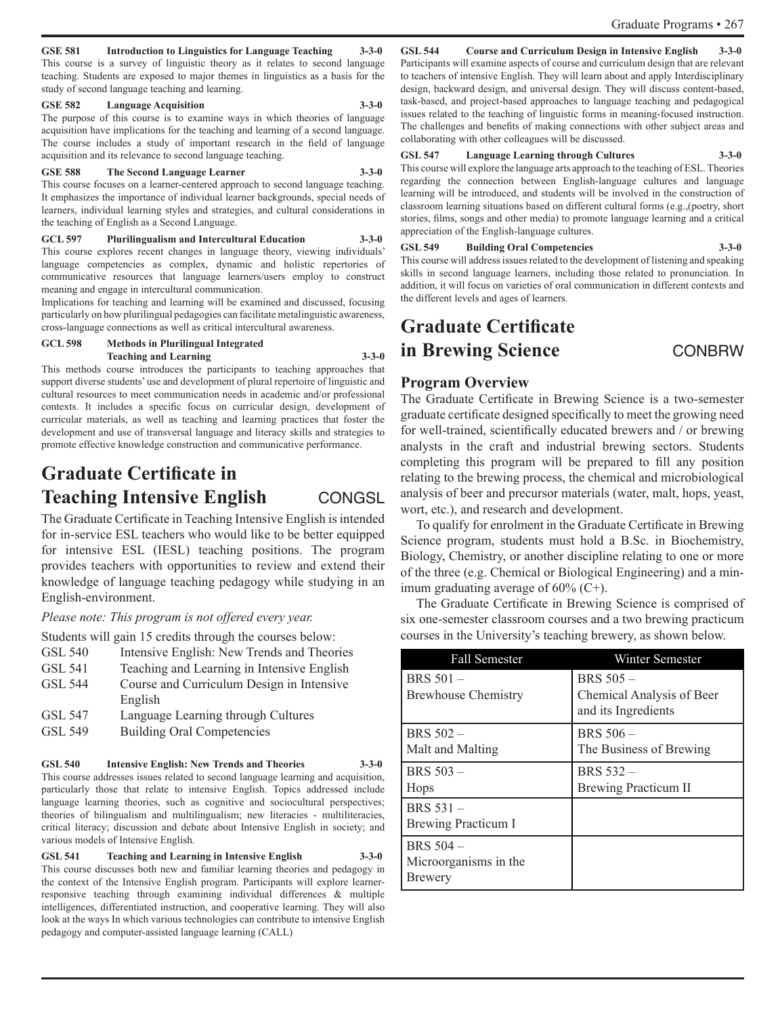#### **GSE 581 Introduction to Linguistics for Language Teaching 3-3-0**

This course is a survey of linguistic theory as it relates to second language teaching. Students are exposed to major themes in linguistics as a basis for the study of second language teaching and learning.

#### **GSE 582 Language Acquisition 3-3-0**

The purpose of this course is to examine ways in which theories of language acquisition have implications for the teaching and learning of a second language. The course includes a study of important research in the field of language acquisition and its relevance to second language teaching.

#### **GSE 588 The Second Language Learner 3-3-0**

This course focuses on a learner-centered approach to second language teaching. It emphasizes the importance of individual learner backgrounds, special needs of learners, individual learning styles and strategies, and cultural considerations in the teaching of English as a Second Language.

**GCL 597 Plurilingualism and Intercultural Education 3-3-0** This course explores recent changes in language theory, viewing individuals' language competencies as complex, dynamic and holistic repertories of communicative resources that language learners/users employ to construct meaning and engage in intercultural communication.

Implications for teaching and learning will be examined and discussed, focusing particularly on how plurilingual pedagogies can facilitate metalinguistic awareness, cross-language connections as well as critical intercultural awareness.

#### **GCL 598 Methods in Plurilingual Integrated Teaching and Learning 3-3-0**

This methods course introduces the participants to teaching approaches that support diverse students' use and development of plural repertoire of linguistic and cultural resources to meet communication needs in academic and/or professional contexts. It includes a specific focus on curricular design, development of curricular materials, as well as teaching and learning practices that foster the development and use of transversal language and literacy skills and strategies to promote effective knowledge construction and communicative performance.

## **Graduate Certificate in Teaching Intensive English CONGSL**

The Graduate Certificate in Teaching Intensive English is intended for in-service ESL teachers who would like to be better equipped for intensive ESL (IESL) teaching positions. The program provides teachers with opportunities to review and extend their knowledge of language teaching pedagogy while studying in an English-environment.

*Please note: This program is not offered every year.* 

Students will gain 15 credits through the courses below:

| GSL 540 | Intensive English: New Trends and Theories |  |  |
|---------|--------------------------------------------|--|--|
|---------|--------------------------------------------|--|--|

- GSL 541 Teaching and Learning in Intensive English
- GSL 544 Course and Curriculum Design in Intensive English
- GSL 547 Language Learning through Cultures
- GSL 549 Building Oral Competencies

#### **GSL 540 Intensive English: New Trends and Theories 3-3-0**

This course addresses issues related to second language learning and acquisition, particularly those that relate to intensive English. Topics addressed include language learning theories, such as cognitive and sociocultural perspectives; theories of bilingualism and multilingualism; new literacies - multiliteracies, critical literacy; discussion and debate about Intensive English in society; and various models of Intensive English.

**GSL 541 Teaching and Learning in Intensive English 3-3-0** This course discusses both new and familiar learning theories and pedagogy in the context of the Intensive English program. Participants will explore learnerresponsive teaching through examining individual differences & multiple intelligences, differentiated instruction, and cooperative learning. They will also look at the ways In which various technologies can contribute to intensive English pedagogy and computer-assisted language learning (CALL)

#### **GSL 544 Course and Curriculum Design in Intensive English 3-3-0**

Participants will examine aspects of course and curriculum design that are relevant to teachers of intensive English. They will learn about and apply Interdisciplinary design, backward design, and universal design. They will discuss content-based, task-based, and project-based approaches to language teaching and pedagogical issues related to the teaching of linguistic forms in meaning-focused instruction. The challenges and benefits of making connections with other subject areas and collaborating with other colleagues will be discussed.

#### **GSL 547 Language Learning through Cultures 3-3-0** This course will explore the language arts approach to the teaching of ESL. Theories

regarding the connection between English-language cultures and language learning will be introduced, and students will be involved in the construction of classroom learning situations based on different cultural forms (e.g.,(poetry, short stories, films, songs and other media) to promote language learning and a critical appreciation of the English-language cultures.

#### **GSL 549 Building Oral Competencies 3-3-0**

This course will address issues related to the development of listening and speaking skills in second language learners, including those related to pronunciation. In addition, it will focus on varieties of oral communication in different contexts and the different levels and ages of learners.

## **Graduate Certificate in Brewing Science CONBRW**

#### **Program Overview**

The Graduate Certificate in Brewing Science is a two-semester graduate certificate designed specifically to meet the growing need for well-trained, scientifically educated brewers and / or brewing analysts in the craft and industrial brewing sectors. Students completing this program will be prepared to fill any position relating to the brewing process, the chemical and microbiological analysis of beer and precursor materials (water, malt, hops, yeast, wort, etc.), and research and development.

To qualify for enrolment in the Graduate Certificate in Brewing Science program, students must hold a B.Sc. in Biochemistry, Biology, Chemistry, or another discipline relating to one or more of the three (e.g. Chemical or Biological Engineering) and a minimum graduating average of 60% (C+).

The Graduate Certificate in Brewing Science is comprised of six one-semester classroom courses and a two brewing practicum courses in the University's teaching brewery, as shown below.

| <b>Fall Semester</b>                                        | Winter Semester                                                |
|-------------------------------------------------------------|----------------------------------------------------------------|
| <b>BRS</b> 501 –<br><b>Brewhouse Chemistry</b>              | BRS $505-$<br>Chemical Analysis of Beer<br>and its Ingredients |
| BRS 502 -<br>Malt and Malting                               | <b>BRS 506 -</b><br>The Business of Brewing                    |
| BRS 503 -<br>Hops                                           | BRS 532 -<br><b>Brewing Practicum II</b>                       |
| BRS 531 -<br>Brewing Practicum I                            |                                                                |
| <b>BRS</b> 504 –<br>Microorganisms in the<br><b>Brewery</b> |                                                                |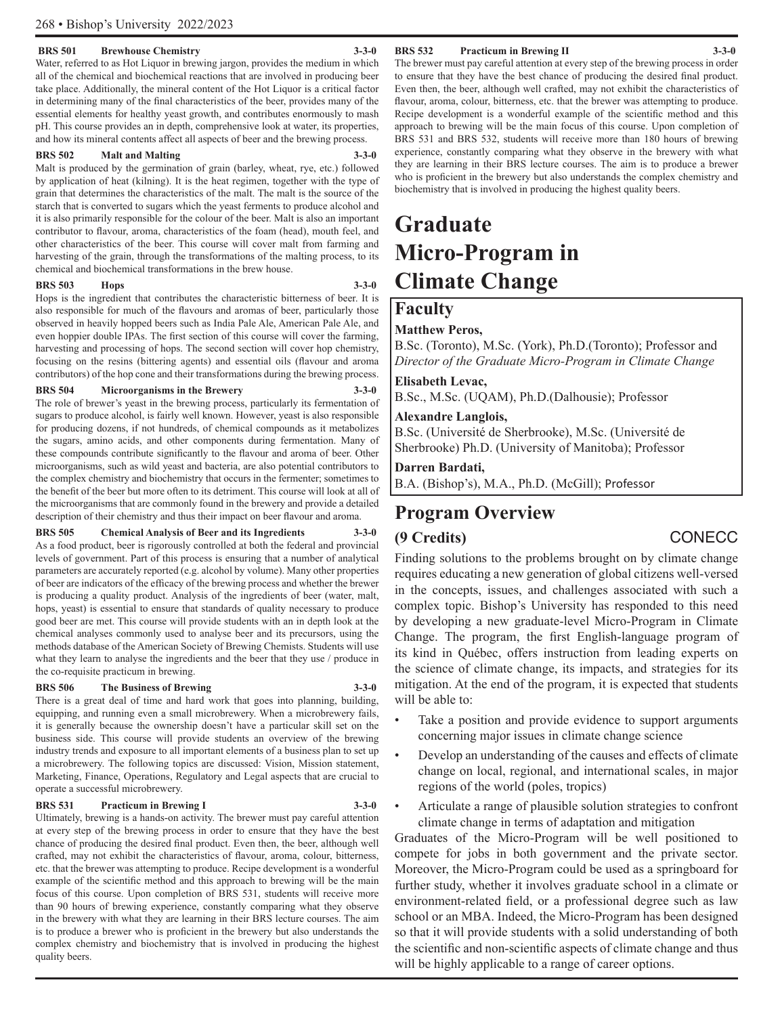#### **BRS 501 Brewhouse Chemistry 3-3-0**

Water, referred to as Hot Liquor in brewing jargon, provides the medium in which all of the chemical and biochemical reactions that are involved in producing beer take place. Additionally, the mineral content of the Hot Liquor is a critical factor in determining many of the final characteristics of the beer, provides many of the essential elements for healthy yeast growth, and contributes enormously to mash pH. This course provides an in depth, comprehensive look at water, its properties, and how its mineral contents affect all aspects of beer and the brewing process.

#### **BRS 502 Malt and Malting 3-3-0**

Malt is produced by the germination of grain (barley, wheat, rye, etc.) followed by application of heat (kilning). It is the heat regimen, together with the type of grain that determines the characteristics of the malt. The malt is the source of the starch that is converted to sugars which the yeast ferments to produce alcohol and it is also primarily responsible for the colour of the beer. Malt is also an important contributor to flavour, aroma, characteristics of the foam (head), mouth feel, and other characteristics of the beer. This course will cover malt from farming and harvesting of the grain, through the transformations of the malting process, to its chemical and biochemical transformations in the brew house.

#### **BRS 503 Hops 3-3-0**

Hops is the ingredient that contributes the characteristic bitterness of beer. It is also responsible for much of the flavours and aromas of beer, particularly those observed in heavily hopped beers such as India Pale Ale, American Pale Ale, and even hoppier double IPAs. The first section of this course will cover the farming, harvesting and processing of hops. The second section will cover hop chemistry, focusing on the resins (bittering agents) and essential oils (flavour and aroma contributors) of the hop cone and their transformations during the brewing process.

#### **BRS 504 Microorganisms in the Brewery 3-3-0**

The role of brewer's yeast in the brewing process, particularly its fermentation of sugars to produce alcohol, is fairly well known. However, yeast is also responsible for producing dozens, if not hundreds, of chemical compounds as it metabolizes the sugars, amino acids, and other components during fermentation. Many of these compounds contribute significantly to the flavour and aroma of beer. Other microorganisms, such as wild yeast and bacteria, are also potential contributors to the complex chemistry and biochemistry that occurs in the fermenter; sometimes to the benefit of the beer but more often to its detriment. This course will look at all of the microorganisms that are commonly found in the brewery and provide a detailed description of their chemistry and thus their impact on beer flavour and aroma.

#### **BRS 505 Chemical Analysis of Beer and its Ingredients 3-3-0**

As a food product, beer is rigorously controlled at both the federal and provincial levels of government. Part of this process is ensuring that a number of analytical parameters are accurately reported (e.g. alcohol by volume). Many other properties of beer are indicators of the efficacy of the brewing process and whether the brewer is producing a quality product. Analysis of the ingredients of beer (water, malt, hops, yeast) is essential to ensure that standards of quality necessary to produce good beer are met. This course will provide students with an in depth look at the chemical analyses commonly used to analyse beer and its precursors, using the methods database of the American Society of Brewing Chemists. Students will use what they learn to analyse the ingredients and the beer that they use / produce in the co-requisite practicum in brewing.

#### **BRS 506 The Business of Brewing 3-3-0**

There is a great deal of time and hard work that goes into planning, building, equipping, and running even a small microbrewery. When a microbrewery fails, it is generally because the ownership doesn't have a particular skill set on the business side. This course will provide students an overview of the brewing industry trends and exposure to all important elements of a business plan to set up a microbrewery. The following topics are discussed: Vision, Mission statement, Marketing, Finance, Operations, Regulatory and Legal aspects that are crucial to operate a successful microbrewery.

#### **BRS 531 Practicum in Brewing I 3-3-0**

Ultimately, brewing is a hands-on activity. The brewer must pay careful attention at every step of the brewing process in order to ensure that they have the best chance of producing the desired final product. Even then, the beer, although well crafted, may not exhibit the characteristics of flavour, aroma, colour, bitterness, etc. that the brewer was attempting to produce. Recipe development is a wonderful example of the scientific method and this approach to brewing will be the main focus of this course. Upon completion of BRS 531, students will receive more than 90 hours of brewing experience, constantly comparing what they observe in the brewery with what they are learning in their BRS lecture courses. The aim is to produce a brewer who is proficient in the brewery but also understands the complex chemistry and biochemistry that is involved in producing the highest quality beers.

#### **BRS 532 Practicum in Brewing II 3-3-0**

The brewer must pay careful attention at every step of the brewing process in order to ensure that they have the best chance of producing the desired final product. Even then, the beer, although well crafted, may not exhibit the characteristics of flavour, aroma, colour, bitterness, etc. that the brewer was attempting to produce. Recipe development is a wonderful example of the scientific method and this approach to brewing will be the main focus of this course. Upon completion of BRS 531 and BRS 532, students will receive more than 180 hours of brewing experience, constantly comparing what they observe in the brewery with what they are learning in their BRS lecture courses. The aim is to produce a brewer who is proficient in the brewery but also understands the complex chemistry and biochemistry that is involved in producing the highest quality beers.

## **Graduate Micro-Program in Climate Change**

### **Faculty**

#### **Matthew Peros,**

B.Sc. (Toronto), M.Sc. (York), Ph.D.(Toronto); Professor and *Director of the Graduate Micro-Program in Climate Change*

#### **Elisabeth Levac,**

B.Sc., M.Sc. (UQAM), Ph.D.(Dalhousie); Professor

#### **Alexandre Langlois,**

B.Sc. (Université de Sherbrooke), M.Sc. (Université de Sherbrooke) Ph.D. (University of Manitoba); Professor

**Darren Bardati,**

B.A. (Bishop's), M.A., Ph.D. (McGill); Professor

## **Program Overview**

## **(9 Credits)** CONECC

Finding solutions to the problems brought on by climate change requires educating a new generation of global citizens well-versed in the concepts, issues, and challenges associated with such a complex topic. Bishop's University has responded to this need by developing a new graduate-level Micro-Program in Climate Change. The program, the first English-language program of its kind in Québec, offers instruction from leading experts on the science of climate change, its impacts, and strategies for its mitigation. At the end of the program, it is expected that students will be able to:

- Take a position and provide evidence to support arguments concerning major issues in climate change science
- Develop an understanding of the causes and effects of climate change on local, regional, and international scales, in major regions of the world (poles, tropics)
- Articulate a range of plausible solution strategies to confront climate change in terms of adaptation and mitigation

Graduates of the Micro-Program will be well positioned to compete for jobs in both government and the private sector. Moreover, the Micro-Program could be used as a springboard for further study, whether it involves graduate school in a climate or environment-related field, or a professional degree such as law school or an MBA. Indeed, the Micro-Program has been designed so that it will provide students with a solid understanding of both the scientific and non-scientific aspects of climate change and thus will be highly applicable to a range of career options.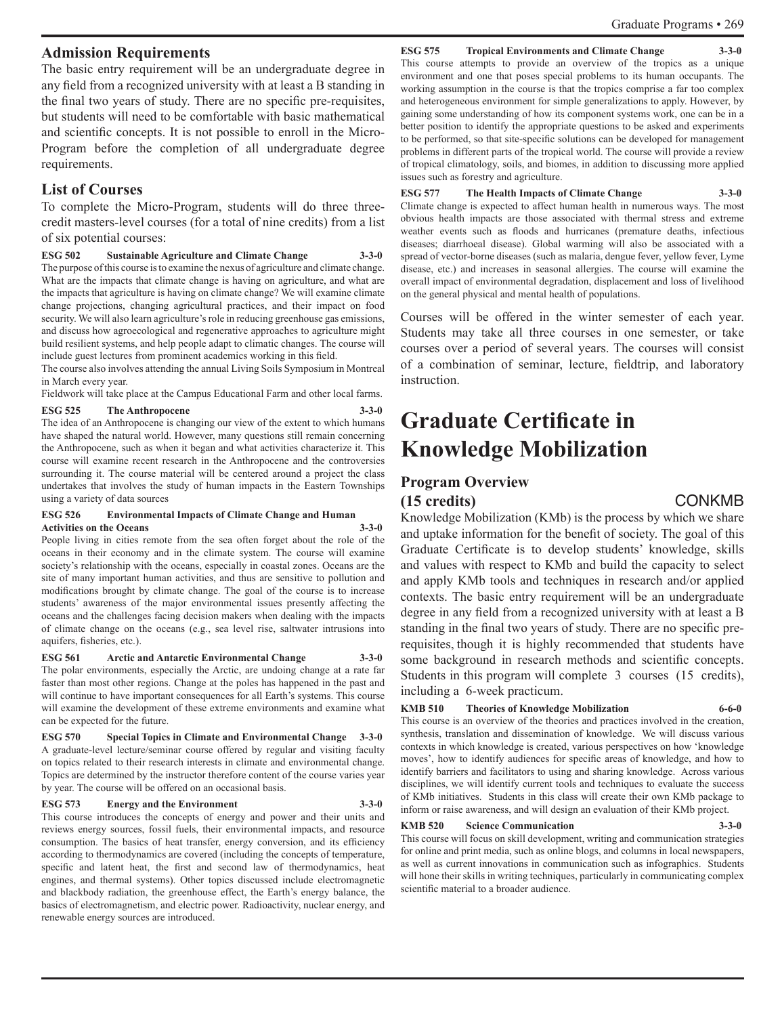#### **Admission Requirements**

The basic entry requirement will be an undergraduate degree in any field from a recognized university with at least a B standing in the final two years of study. There are no specific pre-requisites, but students will need to be comfortable with basic mathematical and scientific concepts. It is not possible to enroll in the Micro-Program before the completion of all undergraduate degree requirements.

#### **List of Courses**

To complete the Micro-Program, students will do three threecredit masters-level courses (for a total of nine credits) from a list of six potential courses:

#### **ESG 502 Sustainable Agriculture and Climate Change 3-3-0**

The purpose of this course is to examine the nexus of agriculture and climate change. What are the impacts that climate change is having on agriculture, and what are the impacts that agriculture is having on climate change? We will examine climate change projections, changing agricultural practices, and their impact on food security. We will also learn agriculture's role in reducing greenhouse gas emissions, and discuss how agroecological and regenerative approaches to agriculture might build resilient systems, and help people adapt to climatic changes. The course will include guest lectures from prominent academics working in this field.

The course also involves attending the annual Living Soils Symposium in Montreal in March every year.

Fieldwork will take place at the Campus Educational Farm and other local farms.

## **ESG 525 The Anthropocene 3-3-0**

The idea of an Anthropocene is changing our view of the extent to which humans have shaped the natural world. However, many questions still remain concerning the Anthropocene, such as when it began and what activities characterize it. This course will examine recent research in the Anthropocene and the controversies surrounding it. The course material will be centered around a project the class undertakes that involves the study of human impacts in the Eastern Townships using a variety of data sources

#### **ESG 526 Environmental Impacts of Climate Change and Human Activities on the Oceans 3-3-0**

People living in cities remote from the sea often forget about the role of the oceans in their economy and in the climate system. The course will examine society's relationship with the oceans, especially in coastal zones. Oceans are the site of many important human activities, and thus are sensitive to pollution and modifications brought by climate change. The goal of the course is to increase students' awareness of the major environmental issues presently affecting the oceans and the challenges facing decision makers when dealing with the impacts of climate change on the oceans (e.g., sea level rise, saltwater intrusions into aquifers, fisheries, etc.).

**ESG 561 Arctic and Antarctic Environmental Change 3-3-0** The polar environments, especially the Arctic, are undoing change at a rate far faster than most other regions. Change at the poles has happened in the past and will continue to have important consequences for all Earth's systems. This course will examine the development of these extreme environments and examine what can be expected for the future.

**ESG 570 Special Topics in Climate and Environmental Change 3-3-0** A graduate-level lecture/seminar course offered by regular and visiting faculty on topics related to their research interests in climate and environmental change. Topics are determined by the instructor therefore content of the course varies year by year. The course will be offered on an occasional basis.

#### **ESG 573 Energy and the Environment 3-3-0**

This course introduces the concepts of energy and power and their units and reviews energy sources, fossil fuels, their environmental impacts, and resource consumption. The basics of heat transfer, energy conversion, and its efficiency according to thermodynamics are covered (including the concepts of temperature, specific and latent heat, the first and second law of thermodynamics, heat engines, and thermal systems). Other topics discussed include electromagnetic and blackbody radiation, the greenhouse effect, the Earth's energy balance, the basics of electromagnetism, and electric power. Radioactivity, nuclear energy, and renewable energy sources are introduced.

#### **ESG 575** Tropical Environments and Climate Change

This course attempts to provide an overview of the tropics as a unique environment and one that poses special problems to its human occupants. The working assumption in the course is that the tropics comprise a far too complex and heterogeneous environment for simple generalizations to apply. However, by gaining some understanding of how its component systems work, one can be in a better position to identify the appropriate questions to be asked and experiments to be performed, so that site-specific solutions can be developed for management problems in different parts of the tropical world. The course will provide a review of tropical climatology, soils, and biomes, in addition to discussing more applied issues such as forestry and agriculture.

#### **ESG 577 The Health Impacts of Climate Change 3-3-0**

Climate change is expected to affect human health in numerous ways. The most obvious health impacts are those associated with thermal stress and extreme weather events such as floods and hurricanes (premature deaths, infectious diseases; diarrhoeal disease). Global warming will also be associated with a spread of vector-borne diseases (such as malaria, dengue fever, yellow fever, Lyme disease, etc.) and increases in seasonal allergies. The course will examine the overall impact of environmental degradation, displacement and loss of livelihood on the general physical and mental health of populations.

Courses will be offered in the winter semester of each year. Students may take all three courses in one semester, or take courses over a period of several years. The courses will consist of a combination of seminar, lecture, fieldtrip, and laboratory instruction.

## **Graduate Certificate in Knowledge Mobilization**

## **Program Overview**

**(15 credits)** CONKMB

Knowledge Mobilization (KMb) is the process by which we share and uptake information for the benefit of society. The goal of this Graduate Certificate is to develop students' knowledge, skills and values with respect to KMb and build the capacity to select and apply KMb tools and techniques in research and/or applied contexts. The basic entry requirement will be an undergraduate degree in any field from a recognized university with at least a B standing in the final two years of study. There are no specific prerequisites, though it is highly recommended that students have some background in research methods and scientific concepts. Students in this program will complete 3 courses (15 credits), including a 6-week practicum.

#### **KMB 510 Theories of Knowledge Mobilization 6-6-0**

This course is an overview of the theories and practices involved in the creation, synthesis, translation and dissemination of knowledge. We will discuss various contexts in which knowledge is created, various perspectives on how 'knowledge moves', how to identify audiences for specific areas of knowledge, and how to identify barriers and facilitators to using and sharing knowledge. Across various disciplines, we will identify current tools and techniques to evaluate the success of KMb initiatives. Students in this class will create their own KMb package to inform or raise awareness, and will design an evaluation of their KMb project.

#### **KMB 520 Science Communication 3-3-0**

This course will focus on skill development, writing and communication strategies for online and print media, such as online blogs, and columns in local newspapers, as well as current innovations in communication such as infographics. Students will hone their skills in writing techniques, particularly in communicating complex scientific material to a broader audience.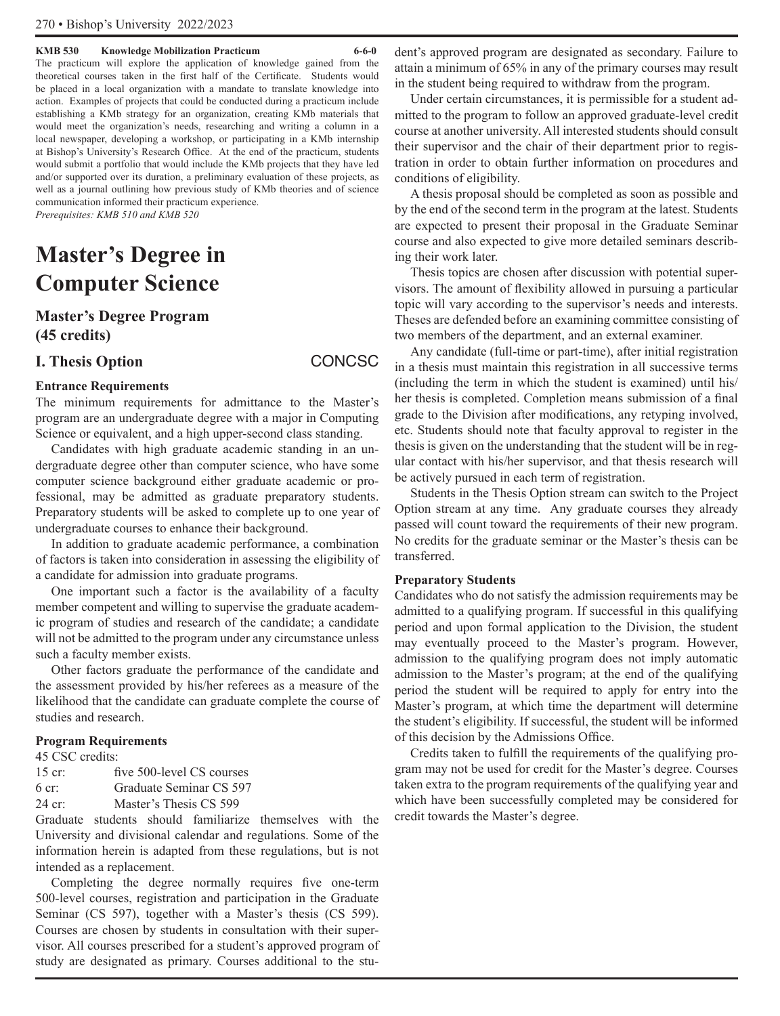#### **KMB 530 Knowledge Mobilization Practicum 6-6-0**

The practicum will explore the application of knowledge gained from the theoretical courses taken in the first half of the Certificate. Students would be placed in a local organization with a mandate to translate knowledge into action. Examples of projects that could be conducted during a practicum include establishing a KMb strategy for an organization, creating KMb materials that would meet the organization's needs, researching and writing a column in a local newspaper, developing a workshop, or participating in a KMb internship at Bishop's University's Research Office. At the end of the practicum, students would submit a portfolio that would include the KMb projects that they have led and/or supported over its duration, a preliminary evaluation of these projects, as well as a journal outlining how previous study of KMb theories and of science communication informed their practicum experience. *Prerequisites: KMB 510 and KMB 520*

## **Master's Degree in Computer Science**

## **Master's Degree Program (45 credits)**

## **I. Thesis Option** CONCSC

#### **Entrance Requirements**

The minimum requirements for admittance to the Master's program are an undergraduate degree with a major in Computing Science or equivalent, and a high upper-second class standing.

Candidates with high graduate academic standing in an undergraduate degree other than computer science, who have some computer science background either graduate academic or professional, may be admitted as graduate preparatory students. Preparatory students will be asked to complete up to one year of undergraduate courses to enhance their background.

In addition to graduate academic performance, a combination of factors is taken into consideration in assessing the eligibility of a candidate for admission into graduate programs.

One important such a factor is the availability of a faculty member competent and willing to supervise the graduate academic program of studies and research of the candidate; a candidate will not be admitted to the program under any circumstance unless such a faculty member exists.

Other factors graduate the performance of the candidate and the assessment provided by his/her referees as a measure of the likelihood that the candidate can graduate complete the course of studies and research.

#### **Program Requirements**

45 CSC credits:

- 15 cr: five 500-level CS courses
- 6 cr: Graduate Seminar CS 597
- 24 cr: Master's Thesis CS 599

Graduate students should familiarize themselves with the University and divisional calendar and regulations. Some of the information herein is adapted from these regulations, but is not intended as a replacement.

Completing the degree normally requires five one-term 500-level courses, registration and participation in the Graduate Seminar (CS 597), together with a Master's thesis (CS 599). Courses are chosen by students in consultation with their supervisor. All courses prescribed for a student's approved program of study are designated as primary. Courses additional to the student's approved program are designated as secondary. Failure to attain a minimum of 65% in any of the primary courses may result in the student being required to withdraw from the program.

Under certain circumstances, it is permissible for a student admitted to the program to follow an approved graduate-level credit course at another university. All interested students should consult their supervisor and the chair of their department prior to registration in order to obtain further information on procedures and conditions of eligibility.

A thesis proposal should be completed as soon as possible and by the end of the second term in the program at the latest. Students are expected to present their proposal in the Graduate Seminar course and also expected to give more detailed seminars describing their work later.

Thesis topics are chosen after discussion with potential supervisors. The amount of flexibility allowed in pursuing a particular topic will vary according to the supervisor's needs and interests. Theses are defended before an examining committee consisting of two members of the department, and an external examiner.

Any candidate (full-time or part-time), after initial registration in a thesis must maintain this registration in all successive terms (including the term in which the student is examined) until his/ her thesis is completed. Completion means submission of a final grade to the Division after modifications, any retyping involved, etc. Students should note that faculty approval to register in the thesis is given on the understanding that the student will be in regular contact with his/her supervisor, and that thesis research will be actively pursued in each term of registration.

Students in the Thesis Option stream can switch to the Project Option stream at any time. Any graduate courses they already passed will count toward the requirements of their new program. No credits for the graduate seminar or the Master's thesis can be transferred.

#### **Preparatory Students**

Candidates who do not satisfy the admission requirements may be admitted to a qualifying program. If successful in this qualifying period and upon formal application to the Division, the student may eventually proceed to the Master's program. However, admission to the qualifying program does not imply automatic admission to the Master's program; at the end of the qualifying period the student will be required to apply for entry into the Master's program, at which time the department will determine the student's eligibility. If successful, the student will be informed of this decision by the Admissions Office.

Credits taken to fulfill the requirements of the qualifying program may not be used for credit for the Master's degree. Courses taken extra to the program requirements of the qualifying year and which have been successfully completed may be considered for credit towards the Master's degree.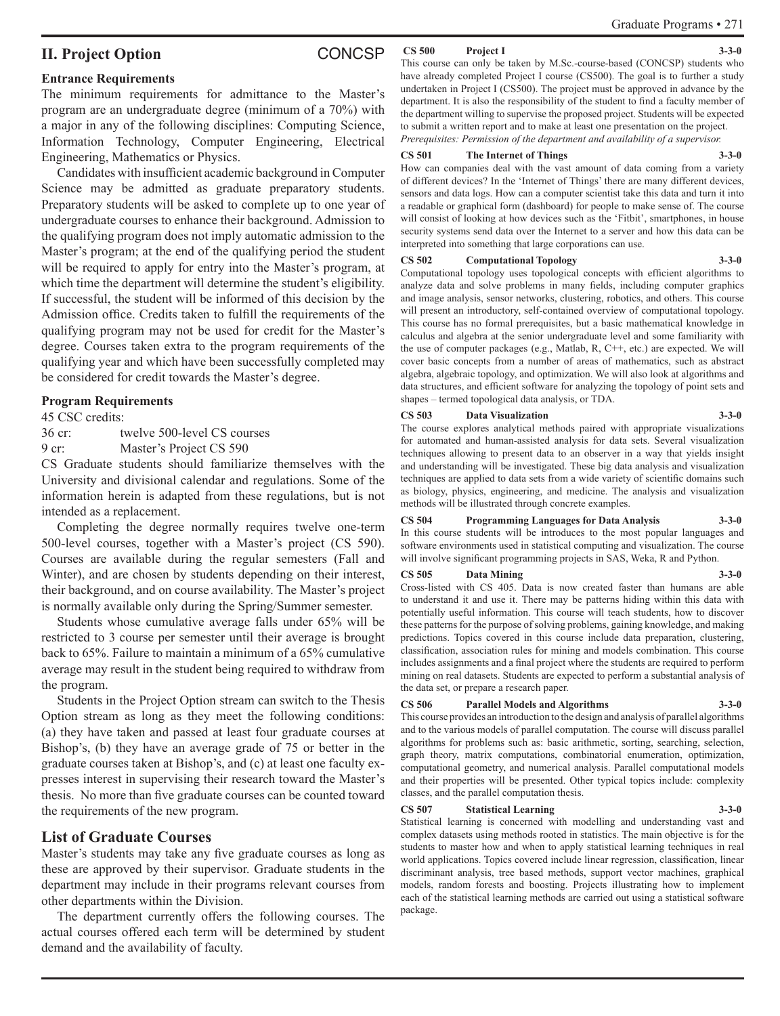### **II. Project Option** CONCSP

#### **Entrance Requirements**

The minimum requirements for admittance to the Master's program are an undergraduate degree (minimum of a 70%) with a major in any of the following disciplines: Computing Science, Information Technology, Computer Engineering, Electrical Engineering, Mathematics or Physics.

Candidates with insufficient academic background in Computer Science may be admitted as graduate preparatory students. Preparatory students will be asked to complete up to one year of undergraduate courses to enhance their background. Admission to the qualifying program does not imply automatic admission to the Master's program; at the end of the qualifying period the student will be required to apply for entry into the Master's program, at which time the department will determine the student's eligibility. If successful, the student will be informed of this decision by the Admission office. Credits taken to fulfill the requirements of the qualifying program may not be used for credit for the Master's degree. Courses taken extra to the program requirements of the qualifying year and which have been successfully completed may be considered for credit towards the Master's degree.

#### **Program Requirements**

45 CSC credits:

36 cr: twelve 500-level CS courses 9 cr: Master's Project CS 590

CS Graduate students should familiarize themselves with the University and divisional calendar and regulations. Some of the information herein is adapted from these regulations, but is not intended as a replacement.

Completing the degree normally requires twelve one-term 500-level courses, together with a Master's project (CS 590). Courses are available during the regular semesters (Fall and Winter), and are chosen by students depending on their interest, their background, and on course availability. The Master's project is normally available only during the Spring/Summer semester.

Students whose cumulative average falls under 65% will be restricted to 3 course per semester until their average is brought back to 65%. Failure to maintain a minimum of a 65% cumulative average may result in the student being required to withdraw from the program.

Students in the Project Option stream can switch to the Thesis Option stream as long as they meet the following conditions: (a) they have taken and passed at least four graduate courses at Bishop's, (b) they have an average grade of 75 or better in the graduate courses taken at Bishop's, and (c) at least one faculty expresses interest in supervising their research toward the Master's thesis. No more than five graduate courses can be counted toward the requirements of the new program.

### **List of Graduate Courses**

Master's students may take any five graduate courses as long as these are approved by their supervisor. Graduate students in the department may include in their programs relevant courses from other departments within the Division.

The department currently offers the following courses. The actual courses offered each term will be determined by student demand and the availability of faculty.

#### **CS 500 Project I 3-3-0**

This course can only be taken by M.Sc.-course-based (CONCSP) students who have already completed Project I course (CS500). The goal is to further a study undertaken in Project I (CS500). The project must be approved in advance by the department. It is also the responsibility of the student to find a faculty member of the department willing to supervise the proposed project. Students will be expected to submit a written report and to make at least one presentation on the project. *Prerequisites: Permission of the department and availability of a supervisor.*

#### **CS 501 The Internet of Things 3-3-0**

How can companies deal with the vast amount of data coming from a variety of different devices? In the 'Internet of Things' there are many different devices, sensors and data logs. How can a computer scientist take this data and turn it into a readable or graphical form (dashboard) for people to make sense of. The course will consist of looking at how devices such as the 'Fitbit', smartphones, in house security systems send data over the Internet to a server and how this data can be interpreted into something that large corporations can use.

#### **CS 502 Computational Topology 3-3-0**

Computational topology uses topological concepts with efficient algorithms to analyze data and solve problems in many fields, including computer graphics and image analysis, sensor networks, clustering, robotics, and others. This course will present an introductory, self-contained overview of computational topology. This course has no formal prerequisites, but a basic mathematical knowledge in calculus and algebra at the senior undergraduate level and some familiarity with the use of computer packages (e.g., Matlab, R, C++, etc.) are expected. We will cover basic concepts from a number of areas of mathematics, such as abstract algebra, algebraic topology, and optimization. We will also look at algorithms and data structures, and efficient software for analyzing the topology of point sets and shapes – termed topological data analysis, or TDA.

#### **CS 503 Data Visualization 3-3-0**

The course explores analytical methods paired with appropriate visualizations for automated and human-assisted analysis for data sets. Several visualization techniques allowing to present data to an observer in a way that yields insight and understanding will be investigated. These big data analysis and visualization techniques are applied to data sets from a wide variety of scientific domains such as biology, physics, engineering, and medicine. The analysis and visualization methods will be illustrated through concrete examples.

#### **CS 504 Programming Languages for Data Analysis 3-3-0**

In this course students will be introduces to the most popular languages and software environments used in statistical computing and visualization. The course will involve significant programming projects in SAS, Weka, R and Python.

#### **CS 505 Data Mining 3-3-0**

Cross-listed with CS 405. Data is now created faster than humans are able to understand it and use it. There may be patterns hiding within this data with potentially useful information. This course will teach students, how to discover these patterns for the purpose of solving problems, gaining knowledge, and making predictions. Topics covered in this course include data preparation, clustering, classification, association rules for mining and models combination. This course includes assignments and a final project where the students are required to perform mining on real datasets. Students are expected to perform a substantial analysis of the data set, or prepare a research paper.

#### **CS 506 Parallel Models and Algorithms 3-3-0**

This course provides an introduction to the design and analysis of parallel algorithms and to the various models of parallel computation. The course will discuss parallel algorithms for problems such as: basic arithmetic, sorting, searching, selection, graph theory, matrix computations, combinatorial enumeration, optimization, computational geometry, and numerical analysis. Parallel computational models and their properties will be presented. Other typical topics include: complexity classes, and the parallel computation thesis.

#### **CS 507 Statistical Learning 3-3-0**

Statistical learning is concerned with modelling and understanding vast and complex datasets using methods rooted in statistics. The main objective is for the students to master how and when to apply statistical learning techniques in real world applications. Topics covered include linear regression, classification, linear discriminant analysis, tree based methods, support vector machines, graphical models, random forests and boosting. Projects illustrating how to implement each of the statistical learning methods are carried out using a statistical software package.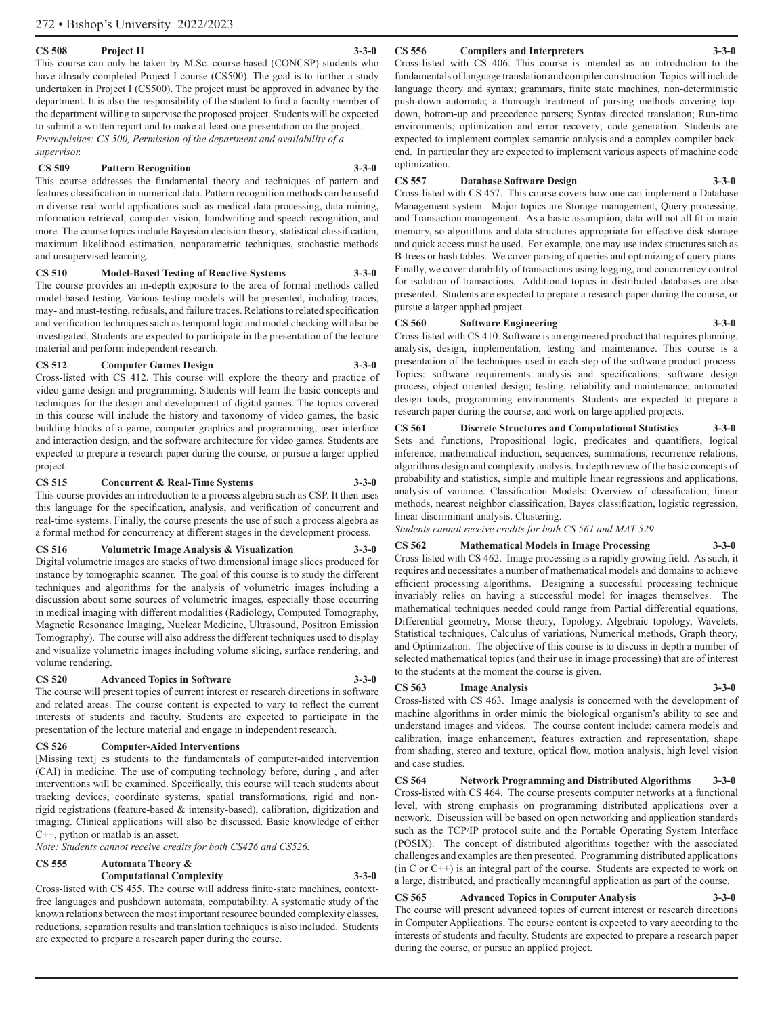#### **CS 508 Project II 3-3-0**

This course can only be taken by M.Sc.-course-based (CONCSP) students who have already completed Project I course (CS500). The goal is to further a study undertaken in Project I (CS500). The project must be approved in advance by the department. It is also the responsibility of the student to find a faculty member of the department willing to supervise the proposed project. Students will be expected to submit a written report and to make at least one presentation on the project. *Prerequisites: CS 500, Permission of the department and availability of a supervisor.*

#### **CS 509 Pattern Recognition 3-3-0**

This course addresses the fundamental theory and techniques of pattern and features classification in numerical data. Pattern recognition methods can be useful in diverse real world applications such as medical data processing, data mining, information retrieval, computer vision, handwriting and speech recognition, and more. The course topics include Bayesian decision theory, statistical classification, maximum likelihood estimation, nonparametric techniques, stochastic methods and unsupervised learning.

#### **CS 510 Model-Based Testing of Reactive Systems 3-3-0** The course provides an in-depth exposure to the area of formal methods called

model-based testing. Various testing models will be presented, including traces, may- and must-testing, refusals, and failure traces. Relations to related specification and verification techniques such as temporal logic and model checking will also be investigated. Students are expected to participate in the presentation of the lecture material and perform independent research.

#### **CS 512 Computer Games Design 3-3-0**

Cross-listed with CS 412. This course will explore the theory and practice of video game design and programming. Students will learn the basic concepts and techniques for the design and development of digital games. The topics covered in this course will include the history and taxonomy of video games, the basic building blocks of a game, computer graphics and programming, user interface and interaction design, and the software architecture for video games. Students are expected to prepare a research paper during the course, or pursue a larger applied project.

#### **CS 515 Concurrent & Real-Time Systems 3-3-0**

This course provides an introduction to a process algebra such as CSP. It then uses this language for the specification, analysis, and verification of concurrent and real-time systems. Finally, the course presents the use of such a process algebra as a formal method for concurrency at different stages in the development process.

#### **CS 516 Volumetric Image Analysis & Visualization 3-3-0**

Digital volumetric images are stacks of two dimensional image slices produced for instance by tomographic scanner. The goal of this course is to study the different techniques and algorithms for the analysis of volumetric images including a discussion about some sources of volumetric images, especially those occurring in medical imaging with different modalities (Radiology, Computed Tomography, Magnetic Resonance Imaging, Nuclear Medicine, Ultrasound, Positron Emission Tomography). The course will also address the different techniques used to display and visualize volumetric images including volume slicing, surface rendering, and volume rendering.

#### **CS 520 Advanced Topics in Software 3-3-0**

The course will present topics of current interest or research directions in software and related areas. The course content is expected to vary to reflect the current interests of students and faculty. Students are expected to participate in the presentation of the lecture material and engage in independent research.

#### **CS 526 Computer-Aided Interventions**

[Missing text] es students to the fundamentals of computer-aided intervention (CAI) in medicine. The use of computing technology before, during , and after interventions will be examined. Specifically, this course will teach students about tracking devices, coordinate systems, spatial transformations, rigid and nonrigid registrations (feature-based & intensity-based), calibration, digitization and imaging. Clinical applications will also be discussed. Basic knowledge of either C++, python or matlab is an asset.

*Note: Students cannot receive credits for both CS426 and CS526.*

#### **CS 555 Automata Theory &**

#### **Computational Complexity 3-3-0**

Cross-listed with CS 455. The course will address finite-state machines, contextfree languages and pushdown automata, computability. A systematic study of the known relations between the most important resource bounded complexity classes, reductions, separation results and translation techniques is also included. Students are expected to prepare a research paper during the course.

#### **CS 556 Compilers and Interpreters 3-3-0**

Cross-listed with CS 406. This course is intended as an introduction to the fundamentals of language translation and compiler construction. Topics will include language theory and syntax; grammars, finite state machines, non-deterministic push-down automata; a thorough treatment of parsing methods covering topdown, bottom-up and precedence parsers; Syntax directed translation; Run-time environments; optimization and error recovery; code generation. Students are expected to implement complex semantic analysis and a complex compiler backend. In particular they are expected to implement various aspects of machine code optimization.

#### **CS 557 Database Software Design 3-3-0**

Cross-listed with CS 457. This course covers how one can implement a Database Management system. Major topics are Storage management, Query processing, and Transaction management. As a basic assumption, data will not all fit in main memory, so algorithms and data structures appropriate for effective disk storage and quick access must be used. For example, one may use index structures such as B-trees or hash tables. We cover parsing of queries and optimizing of query plans. Finally, we cover durability of transactions using logging, and concurrency control for isolation of transactions. Additional topics in distributed databases are also presented. Students are expected to prepare a research paper during the course, or pursue a larger applied project.

#### **CS 560 Software Engineering 3-3-0**

Cross-listed with CS 410. Software is an engineered product that requires planning, analysis, design, implementation, testing and maintenance. This course is a presentation of the techniques used in each step of the software product process. Topics: software requirements analysis and specifications; software design process, object oriented design; testing, reliability and maintenance; automated design tools, programming environments. Students are expected to prepare a research paper during the course, and work on large applied projects.

#### **CS 561 Discrete Structures and Computational Statistics 3-3-0** Sets and functions, Propositional logic, predicates and quantifiers, logical inference, mathematical induction, sequences, summations, recurrence relations, algorithms design and complexity analysis. In depth review of the basic concepts of probability and statistics, simple and multiple linear regressions and applications, analysis of variance. Classification Models: Overview of classification, linear methods, nearest neighbor classification, Bayes classification, logistic regression, linear discriminant analysis. Clustering.

*Students cannot receive credits for both CS 561 and MAT 529*

#### **CS 562 Mathematical Models in Image Processing 3-3-0**

Cross-listed with CS 462. Image processing is a rapidly growing field. As such, it requires and necessitates a number of mathematical models and domains to achieve efficient processing algorithms. Designing a successful processing technique invariably relies on having a successful model for images themselves. The mathematical techniques needed could range from Partial differential equations, Differential geometry, Morse theory, Topology, Algebraic topology, Wavelets, Statistical techniques, Calculus of variations, Numerical methods, Graph theory, and Optimization. The objective of this course is to discuss in depth a number of selected mathematical topics (and their use in image processing) that are of interest to the students at the moment the course is given.

#### **CS 563 Image Analysis 3-3-0**

Cross-listed with CS 463. Image analysis is concerned with the development of machine algorithms in order mimic the biological organism's ability to see and understand images and videos. The course content include: camera models and calibration, image enhancement, features extraction and representation, shape from shading, stereo and texture, optical flow, motion analysis, high level vision and case studies.

**CS 564 Network Programming and Distributed Algorithms 3-3-0** Cross-listed with CS 464. The course presents computer networks at a functional level, with strong emphasis on programming distributed applications over a network. Discussion will be based on open networking and application standards such as the TCP/IP protocol suite and the Portable Operating System Interface (POSIX). The concept of distributed algorithms together with the associated challenges and examples are then presented. Programming distributed applications (in C or C++) is an integral part of the course. Students are expected to work on a large, distributed, and practically meaningful application as part of the course.

## **CS 565 Advanced Topics in Computer Analysis 3-3-0**

The course will present advanced topics of current interest or research directions in Computer Applications. The course content is expected to vary according to the interests of students and faculty. Students are expected to prepare a research paper during the course, or pursue an applied project.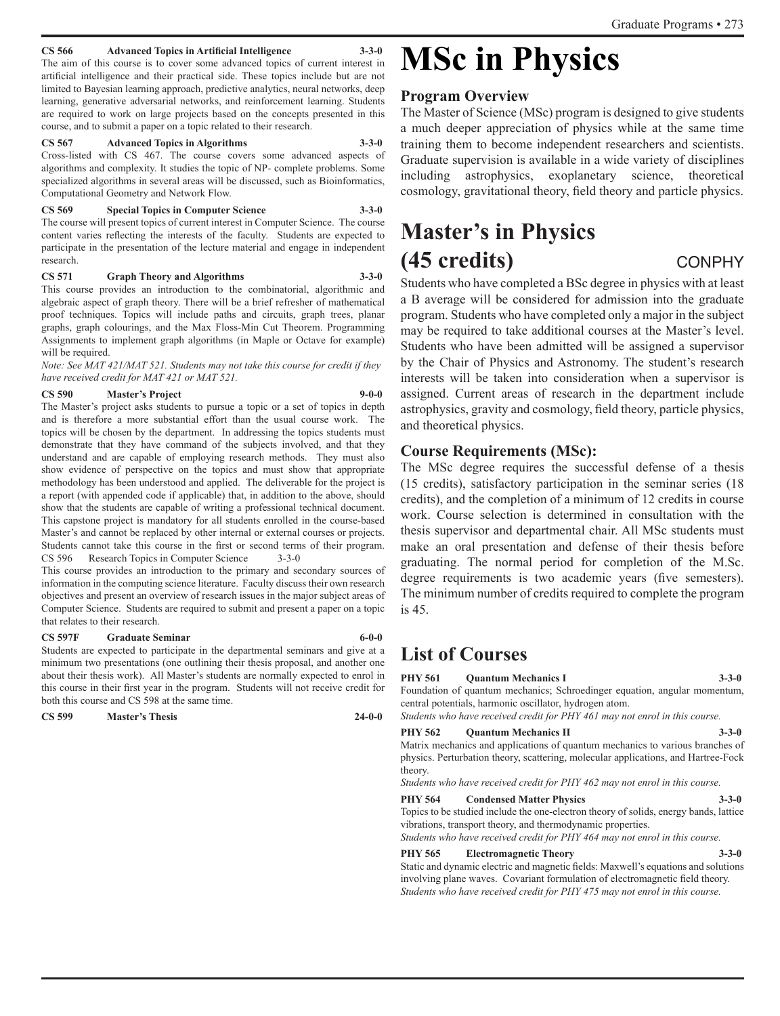#### **CS 566 Advanced Topics in Artificial Intelligence 3-3-0**

The aim of this course is to cover some advanced topics of current interest in artificial intelligence and their practical side. These topics include but are not limited to Bayesian learning approach, predictive analytics, neural networks, deep learning, generative adversarial networks, and reinforcement learning. Students are required to work on large projects based on the concepts presented in this course, and to submit a paper on a topic related to their research.

#### **CS 567 Advanced Topics in Algorithms 3-3-0**

Cross-listed with CS 467. The course covers some advanced aspects of algorithms and complexity. It studies the topic of NP- complete problems. Some specialized algorithms in several areas will be discussed, such as Bioinformatics, Computational Geometry and Network Flow.

**CS 569 Special Topics in Computer Science 3-3-0** The course will present topics of current interest in Computer Science. The course content varies reflecting the interests of the faculty. Students are expected to participate in the presentation of the lecture material and engage in independent research.

#### **CS 571 Graph Theory and Algorithms 3-3-0**

This course provides an introduction to the combinatorial, algorithmic and algebraic aspect of graph theory. There will be a brief refresher of mathematical proof techniques. Topics will include paths and circuits, graph trees, planar graphs, graph colourings, and the Max Floss-Min Cut Theorem. Programming Assignments to implement graph algorithms (in Maple or Octave for example) will be required.

*Note: See MAT 421/MAT 521. Students may not take this course for credit if they have received credit for MAT 421 or MAT 521.* 

#### **CS 590 Master's Project 9-0-0**

The Master's project asks students to pursue a topic or a set of topics in depth and is therefore a more substantial effort than the usual course work. The topics will be chosen by the department. In addressing the topics students must demonstrate that they have command of the subjects involved, and that they understand and are capable of employing research methods. They must also show evidence of perspective on the topics and must show that appropriate methodology has been understood and applied. The deliverable for the project is a report (with appended code if applicable) that, in addition to the above, should show that the students are capable of writing a professional technical document. This capstone project is mandatory for all students enrolled in the course-based Master's and cannot be replaced by other internal or external courses or projects. Students cannot take this course in the first or second terms of their program. CS 596 Research Topics in Computer Science 3-3-0

This course provides an introduction to the primary and secondary sources of information in the computing science literature. Faculty discuss their own research objectives and present an overview of research issues in the major subject areas of Computer Science. Students are required to submit and present a paper on a topic that relates to their research.

#### **CS 597F Graduate Seminar 6-0-0**

Students are expected to participate in the departmental seminars and give at a minimum two presentations (one outlining their thesis proposal, and another one about their thesis work). All Master's students are normally expected to enrol in this course in their first year in the program. Students will not receive credit for both this course and CS 598 at the same time.

**CS 599 Master's Thesis 24-0-0**

# **MSc in Physics**

#### **Program Overview**

The Master of Science (MSc) program is designed to give students a much deeper appreciation of physics while at the same time training them to become independent researchers and scientists. Graduate supervision is available in a wide variety of disciplines including astrophysics, exoplanetary science, theoretical cosmology, gravitational theory, field theory and particle physics.

## **Master's in Physics (45 credits)** CONPHY

Students who have completed a BSc degree in physics with at least a B average will be considered for admission into the graduate program. Students who have completed only a major in the subject may be required to take additional courses at the Master's level. Students who have been admitted will be assigned a supervisor by the Chair of Physics and Astronomy. The student's research interests will be taken into consideration when a supervisor is assigned. Current areas of research in the department include astrophysics, gravity and cosmology, field theory, particle physics, and theoretical physics.

#### **Course Requirements (MSc):**

The MSc degree requires the successful defense of a thesis (15 credits), satisfactory participation in the seminar series (18 credits), and the completion of a minimum of 12 credits in course work. Course selection is determined in consultation with the thesis supervisor and departmental chair. All MSc students must make an oral presentation and defense of their thesis before graduating. The normal period for completion of the M.Sc. degree requirements is two academic years (five semesters). The minimum number of credits required to complete the program is 45.

## **List of Courses**

**PHY 561 Quantum Mechanics I 3-3-0**

Foundation of quantum mechanics; Schroedinger equation, angular momentum, central potentials, harmonic oscillator, hydrogen atom.

*Students who have received credit for PHY 461 may not enrol in this course.*

**PHY 562** Ouantum Mechanics II 3-3-0 Matrix mechanics and applications of quantum mechanics to various branches of physics. Perturbation theory, scattering, molecular applications, and Hartree-Fock theory.

*Students who have received credit for PHY 462 may not enrol in this course.*

**PHY 564 Condensed Matter Physics 3-3-0** Topics to be studied include the one-electron theory of solids, energy bands, lattice

vibrations, transport theory, and thermodynamic properties. *Students who have received credit for PHY 464 may not enrol in this course.*

#### **PHY 565 Electromagnetic Theory 3-3-0**

Static and dynamic electric and magnetic fields: Maxwell's equations and solutions involving plane waves. Covariant formulation of electromagnetic field theory. *Students who have received credit for PHY 475 may not enrol in this course.*